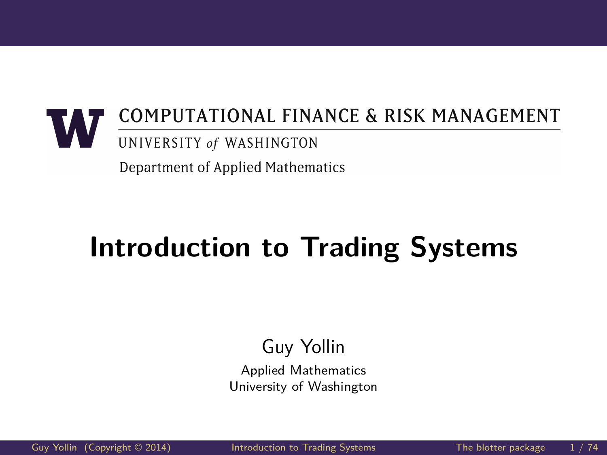## <span id="page-0-0"></span>COMPUTATIONAL FINANCE & RISK MANAGEMENT UNIVERSITY of WASHINGTON

Department of Applied Mathematics

# **Introduction to Trading Systems**

#### Guy Yollin

Applied Mathematics University of Washington

[Guy Yollin](http://faculty.washington.edu/gyollin/) (Copyright © 2014) [Introduction to Trading Systems](#page-73-0) The blotter package 1/74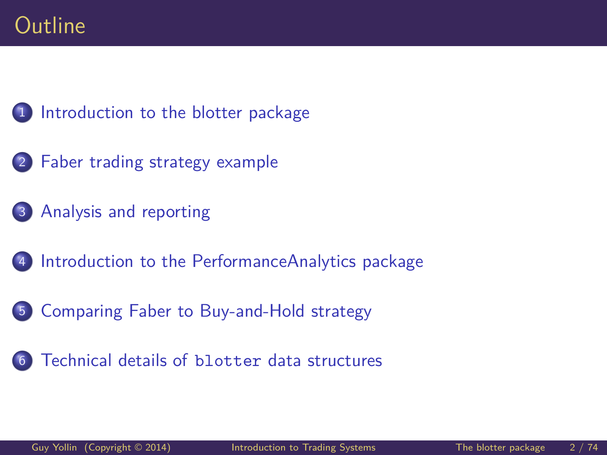[Introduction to the blotter package](#page-2-0)

- [Faber trading strategy example](#page-10-0)
- [Analysis and reporting](#page-35-0)
- [Introduction to the PerformanceAnalytics package](#page-44-0)
- [Comparing Faber to Buy-and-Hold strategy](#page-52-0)
- [Technical details of](#page-61-0) blotter data structures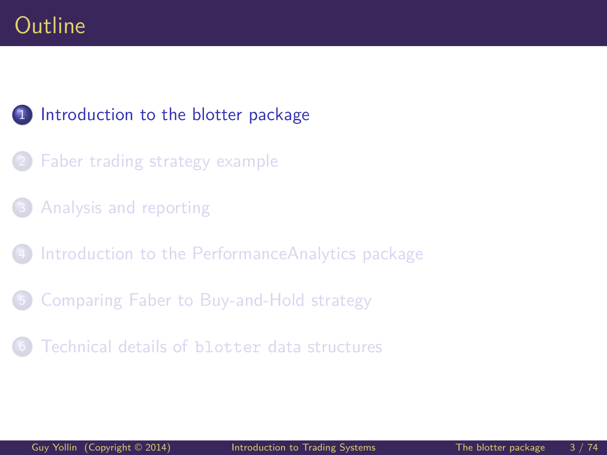#### <span id="page-2-0"></span>1 [Introduction to the blotter package](#page-2-0)

- [Faber trading strategy example](#page-10-0)
- [Analysis and reporting](#page-35-0)
- [Introduction to the PerformanceAnalytics package](#page-44-0)
- 5 [Comparing Faber to Buy-and-Hold strategy](#page-52-0)
- [Technical details of](#page-61-0) blotter data structures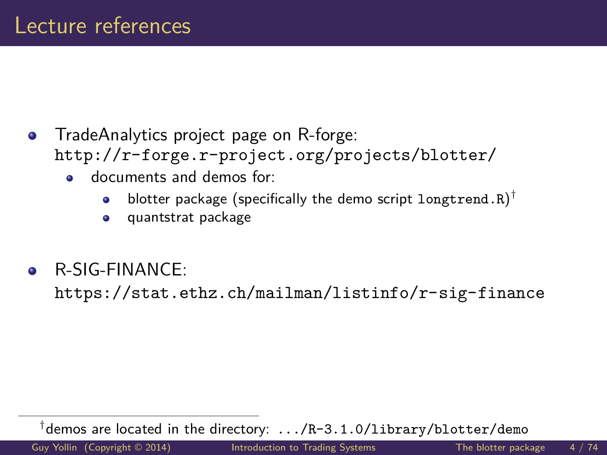- TradeAnalytics project page on R-forge:  $\bullet$ <http://r-forge.r-project.org/projects/blotter/>
	- documents and demos for:
		- blotter package (specifically the demo script  $\mathtt{long trend.} \mathtt{R})^{\dagger}$  $\bullet$
		- quantstrat package  $\bullet$
- R-SIG-FINANCE:  $\bullet$

<https://stat.ethz.ch/mailman/listinfo/r-sig-finance>

† demos are located in the directory: .../R-3.1.0/library/blotter/demo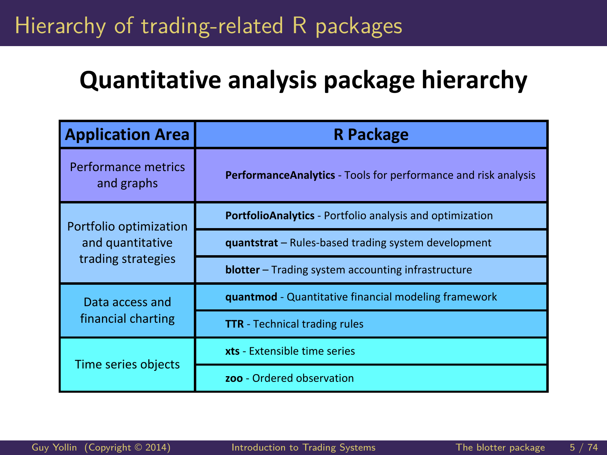## Hierarchy of trading-related R packages

## **Quantitative analysis package hierarchy**

| <b>Application Area</b>           | <b>R</b> Package                                                |  |  |  |
|-----------------------------------|-----------------------------------------------------------------|--|--|--|
| Performance metrics<br>and graphs | PerformanceAnalytics - Tools for performance and risk analysis  |  |  |  |
| Portfolio optimization            | <b>PortfolioAnalytics</b> - Portfolio analysis and optimization |  |  |  |
| and quantitative                  | <b>quantstrat</b> – Rules-based trading system development      |  |  |  |
| trading strategies                | <b>blotter</b> - Trading system accounting infrastructure       |  |  |  |
| Data access and                   | quantmod - Quantitative financial modeling framework            |  |  |  |
| financial charting                | <b>TTR</b> - Technical trading rules                            |  |  |  |
| Time series objects               | xts - Extensible time series                                    |  |  |  |
|                                   | zoo - Ordered observation                                       |  |  |  |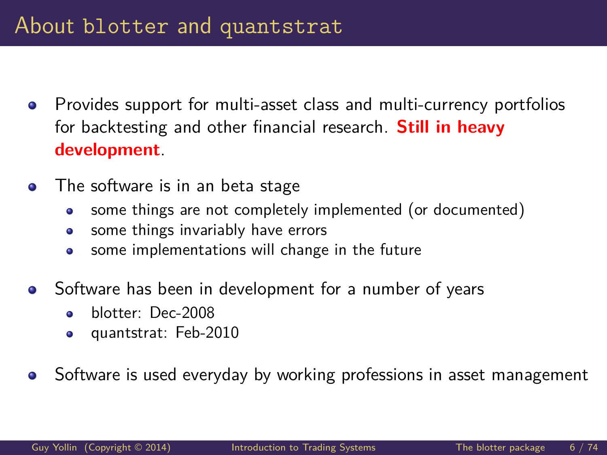- Provides support for multi-asset class and multi-currency portfolios  $\bullet$ for backtesting and other financial research. **Still in heavy development**.
- The software is in an beta stage  $\bullet$ 
	- some things are not completely implemented (or documented) ۰
	- some things invariably have errors  $\bullet$
	- some implementations will change in the future ö
- Software has been in development for a number of years
	- ä blotter: Dec-2008
	- quantstrat: Feb-2010  $\bullet$
- Software is used everyday by working professions in asset management  $\bullet$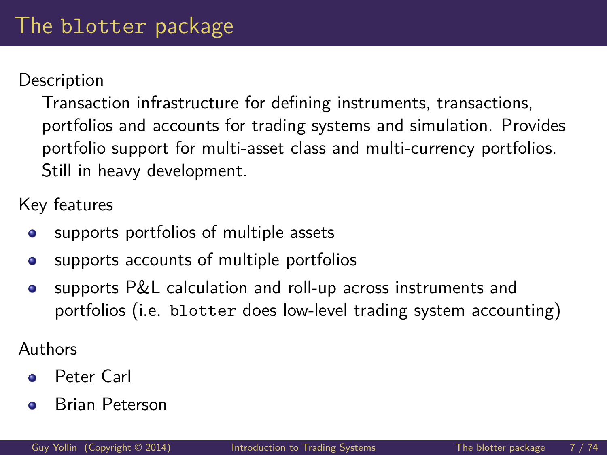#### **Description**

Transaction infrastructure for defining instruments, transactions, portfolios and accounts for trading systems and simulation. Provides portfolio support for multi-asset class and multi-currency portfolios. Still in heavy development.

Key features

- supports portfolios of multiple assets  $\bullet$
- supports accounts of multiple portfolios  $\bullet$
- supports P&L calculation and roll-up across instruments and  $\bullet$ portfolios (i.e. blotter does low-level trading system accounting)

Authors

- Peter Carl  $\bullet$
- Brian Peterson ۵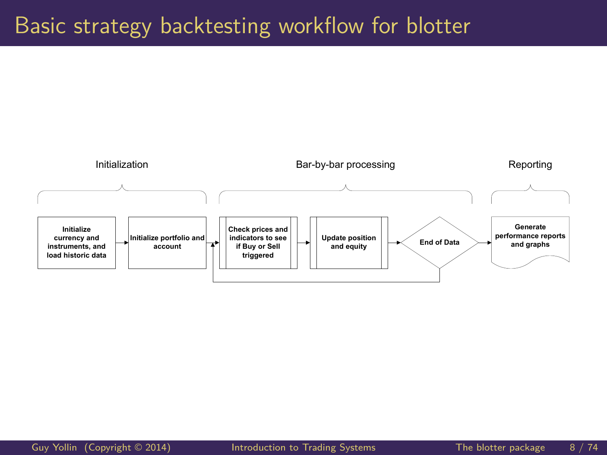#### Basic strategy backtesting workflow for blotter

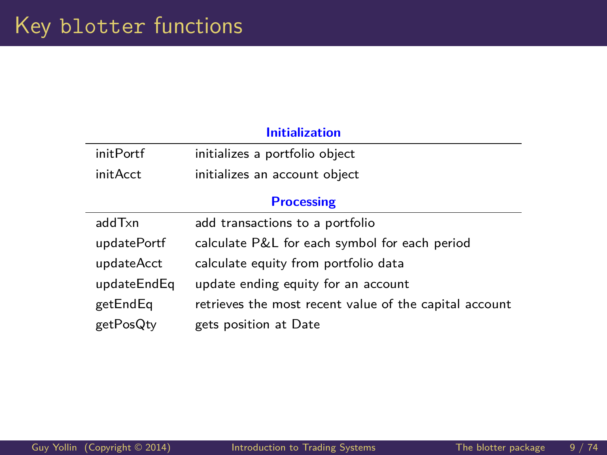×,

÷,

#### **Initialization**

| initPortf   | initializes a portfolio object                         |  |  |  |
|-------------|--------------------------------------------------------|--|--|--|
| initAcct    | initializes an account object                          |  |  |  |
|             | <b>Processing</b>                                      |  |  |  |
| addTxn      | add transactions to a portfolio                        |  |  |  |
| updatePortf | calculate P&L for each symbol for each period          |  |  |  |
| updateAcct  | calculate equity from portfolio data                   |  |  |  |
| updateEndEq | update ending equity for an account                    |  |  |  |
| getEndEq    | retrieves the most recent value of the capital account |  |  |  |
| getPosQty   | gets position at Date                                  |  |  |  |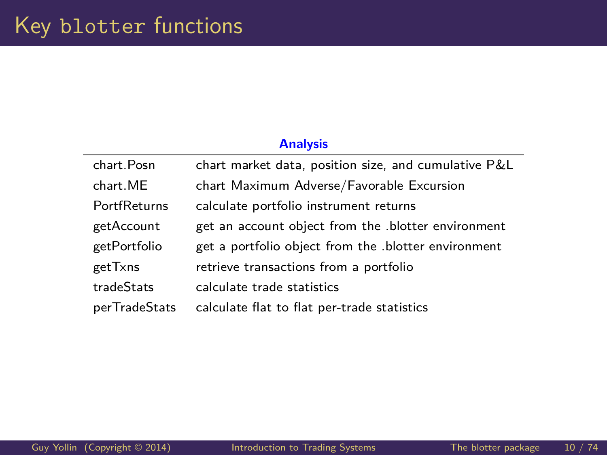| <b>Analysis</b> |                                                      |  |  |  |
|-----------------|------------------------------------------------------|--|--|--|
| chart.Posn      | chart market data, position size, and cumulative P&L |  |  |  |
| chart.ME        | chart Maximum Adverse/Favorable Excursion            |  |  |  |
| PortfReturns    | calculate portfolio instrument returns               |  |  |  |
| getAccount      | get an account object from the blotter environment   |  |  |  |
| getPortfolio    | get a portfolio object from the blotter environment  |  |  |  |
| getTxns         | retrieve transactions from a portfolio               |  |  |  |
| tradeStats      | calculate trade statistics                           |  |  |  |
| perTradeStats   | calculate flat to flat per-trade statistics          |  |  |  |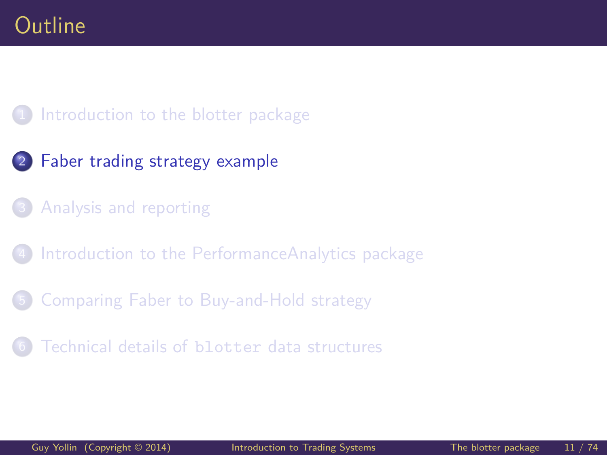#### <span id="page-10-0"></span>1 [Introduction to the blotter package](#page-2-0)

- 2 [Faber trading strategy example](#page-10-0)
- [Analysis and reporting](#page-35-0)
- [Introduction to the PerformanceAnalytics package](#page-44-0)
- 5 [Comparing Faber to Buy-and-Hold strategy](#page-52-0)
- [Technical details of](#page-61-0) blotter data structures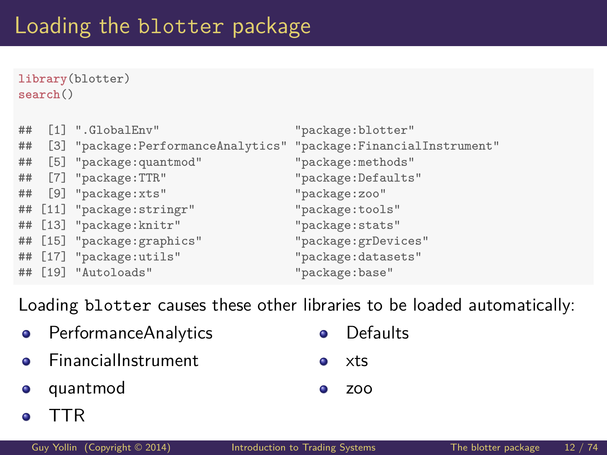**library**(blotter) **search**()

| ## | [1] ".GlobalEnv"                                                   | "package:blotter"   |
|----|--------------------------------------------------------------------|---------------------|
| ## | [3] "package: PerformanceAnalytics" "package: FinancialInstrument" |                     |
| ## | [5] "package: quantmod"                                            | "package:methods"   |
| ## | [7] "package:TTR"                                                  | "package: Defaults" |
| ## | [9] "package:xts"                                                  | "package:zoo"       |
|    | ## [11] "package:stringr"                                          | "package:tools"     |
|    | ## [13] "package:knitr"                                            | "package: stats"    |
|    | ## [15] "package: graphics"                                        | "package:grDevices" |
|    | ## [17] "package:utils"                                            | "package:datasets"  |
|    | ## [19] "Autoloads"                                                | "package:base"      |

Loading blotter causes these other libraries to be loaded automatically:

- PerformanceAnalytics  $\bullet$  $\bullet$ FinancialInstrument  $\bullet$ xts  $\bullet$
- quantmod 0
- Defaults
- $\bullet$ zoo

TTR ۰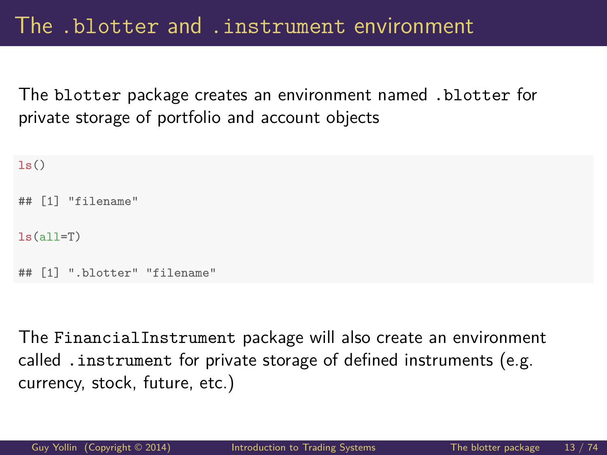The blotter package creates an environment named .blotter for private storage of portfolio and account objects

```
ls()
## [1] "filename"
ls(all=T)
   [1] ".blotter" "filename"
```
The FinancialInstrument package will also create an environment called .instrument for private storage of defined instruments (e.g. currency, stock, future, etc.)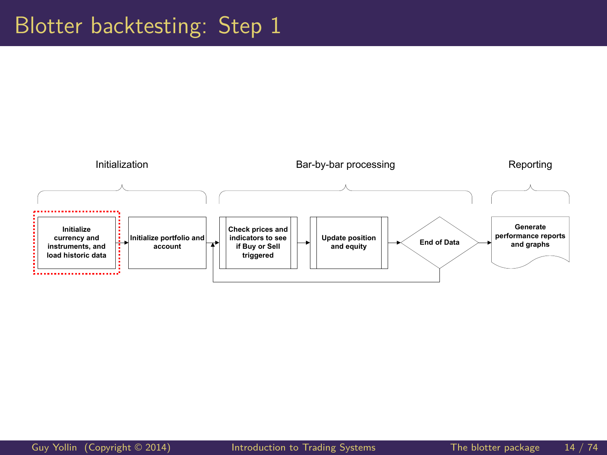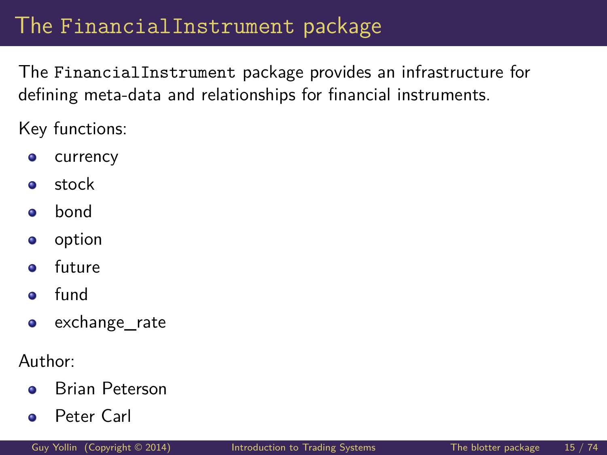## The FinancialInstrument package

The FinancialInstrument package provides an infrastructure for defining meta-data and relationships for financial instruments.

Key functions:

- currency  $\bullet$
- stock  $\bullet$
- bond  $\bullet$
- option  $\bullet$
- future  $\bullet$
- fund  $\bullet$
- exchange\_rate  $\bullet$

Author:

- Brian Peterson  $\bullet$
- Peter Carl  $\bullet$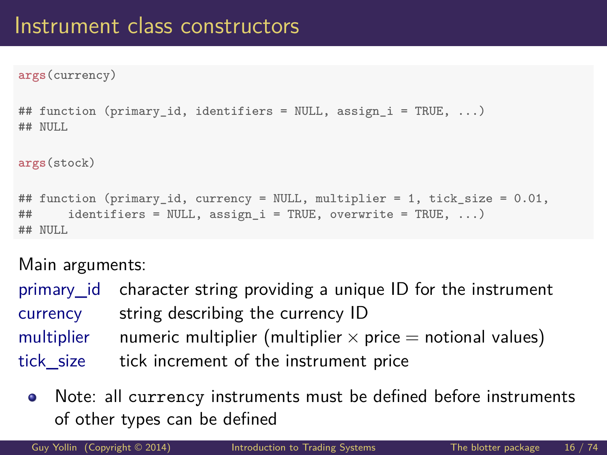**args**(currency)

```
## function (primary_id, identifiers = NULL, assign_i = TRUE, ...)
## NIII.I.
args(stock)
## function (primary_id, currency = NULL, multiplier = 1, tick_size = 0.01,
## identifiers = NULL, assign_i = TRUE, overwrite = TRUE, ...)
## NULL.
```
Main arguments:

| primary id character string providing a unique ID for the instrument        |
|-----------------------------------------------------------------------------|
| currency string describing the currency ID                                  |
| multiplier numeric multiplier (multiplier $\times$ price = notional values) |
| tick size tick increment of the instrument price                            |

Note: all currency instruments must be defined before instruments  $\bullet$ of other types can be defined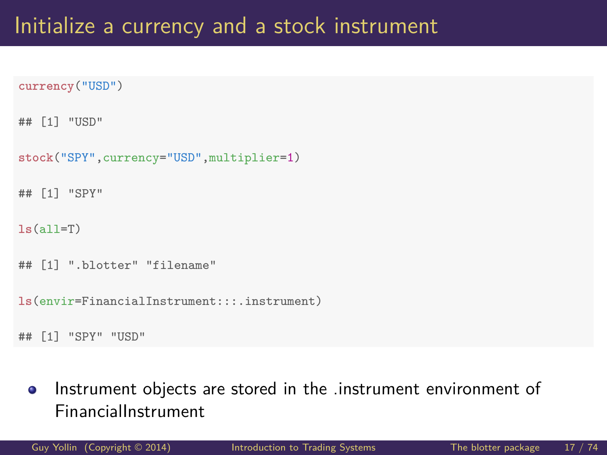```
currency("USD")
```

```
## [1] "USD"
```

```
stock("SPY",currency="USD",multiplier=1)
```

```
## [1] "SPY"
```

```
ls(all=T)
```

```
## [1] ".blotter" "filename"
```
**ls**(envir=FinancialInstrument:::.instrument)

```
## [1] "SPY" "USD"
```
Instrument objects are stored in the .instrument environment of  $\bullet$ FinancialInstrument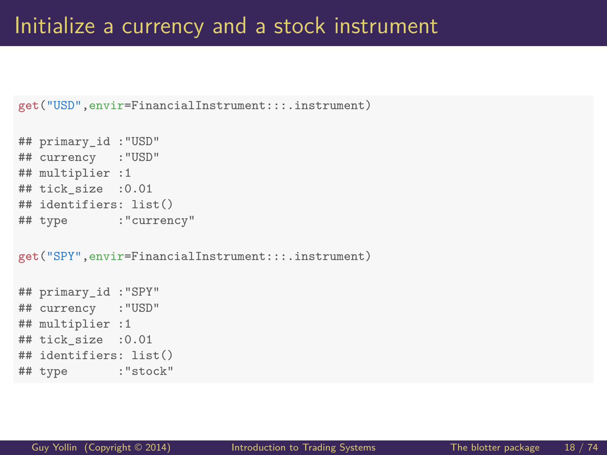```
get("USD",envir=FinancialInstrument:::.instrument)
```

```
## primary_id :"USD"
## currency :"USD"
## multiplier :1
## tick_size :0.01
## identifiers: list()
## type :"currency"
```
**get**("SPY",envir=FinancialInstrument:::.instrument)

```
## primary_id :"SPY"
## currency :"USD"
## multiplier :1
## tick_size :0.01
## identifiers: list()
## type :"stock"
```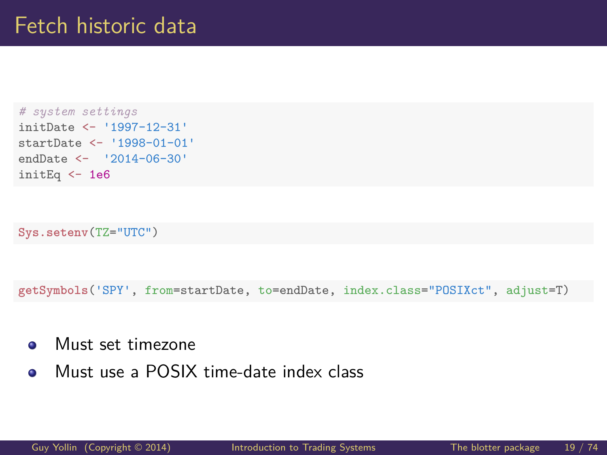```
# system settings
initDate <- '1997-12-31'
startDate <- '1998-01-01'
endDate <- '2014-06-30'
initEq <- 1e6
```

```
Sys.setenv(TZ="UTC")
```
**getSymbols**('SPY', from=startDate, to=endDate, index.class="POSIXct", adjust=T)

- Must set timezone  $\bullet$
- Must use a POSIX time-date index class  $\bullet$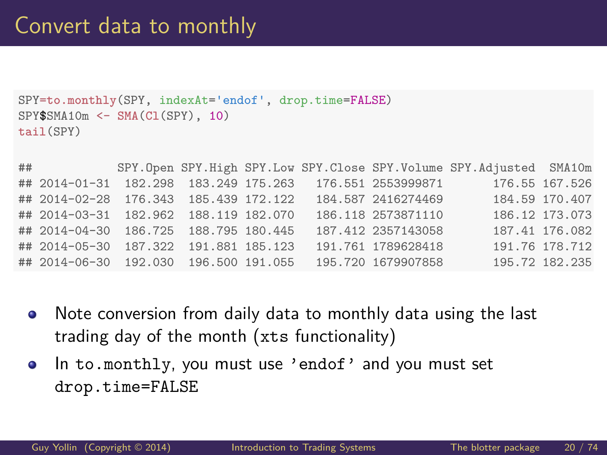```
SPY=to.monthly(SPY, indexAt='endof', drop.time=FALSE)
SPY$SMA10m <- SMA(Cl(SPY), 10)
tail(SPY)
```

| ## |                                       |  |  |                                                          | SPY. Open SPY. High SPY. Low SPY. Close SPY. Volume SPY. Adjusted SMA10m |                |
|----|---------------------------------------|--|--|----------------------------------------------------------|--------------------------------------------------------------------------|----------------|
|    |                                       |  |  | ## 2014-01-31 182.298 183.249 175.263 176.551 2553999871 |                                                                          | 176.55 167.526 |
|    | ## 2014-02-28 176.343 185.439 172.122 |  |  | 184.587 2416274469                                       |                                                                          | 184.59 170.407 |
|    | ## 2014-03-31 182.962 188.119 182.070 |  |  | 186.118 2573871110                                       |                                                                          | 186.12 173.073 |
|    | ## 2014-04-30 186.725 188.795 180.445 |  |  | 187.412 2357143058                                       |                                                                          | 187.41 176.082 |
|    | ## 2014-05-30 187.322 191.881 185.123 |  |  | 191.761 1789628418                                       |                                                                          | 191.76 178.712 |
|    | ## 2014-06-30 192.030 196.500 191.055 |  |  | 195.720 1679907858                                       |                                                                          | 195.72 182.235 |

- Note conversion from daily data to monthly data using the last  $\bullet$ trading day of the month (xts functionality)
- In to.monthly, you must use 'endof' and you must set  $\bullet$ drop.time=FALSE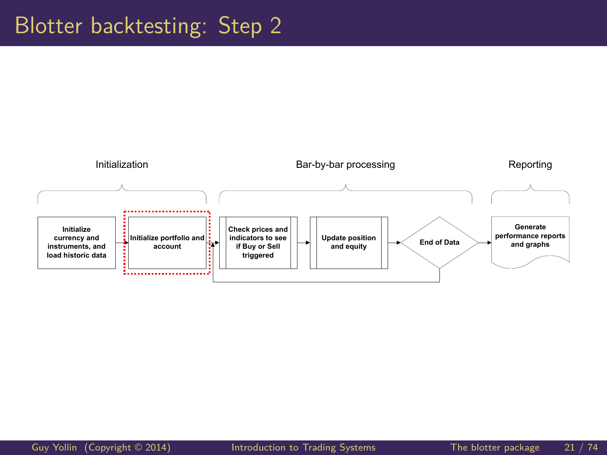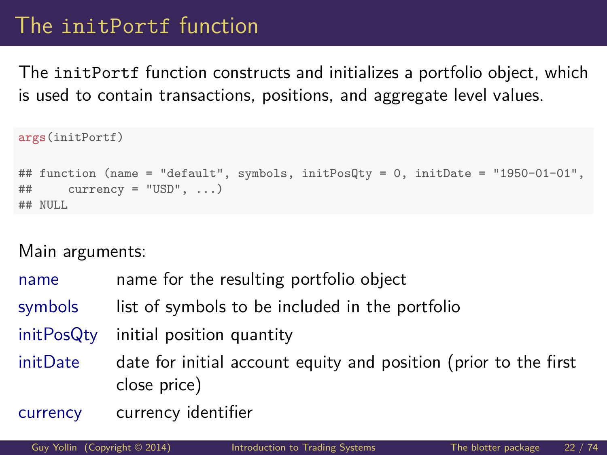## The initPortf function

The initPortf function constructs and initializes a portfolio object, which is used to contain transactions, positions, and aggregate level values.

```
args(initPortf)
## function (name = "default", symbols, initPosQty = 0, initDate = "1950-01-01",
\# currency = "USD", ...)
## NULL
```

| name       | name for the resulting portfolio object                                          |  |  |  |  |
|------------|----------------------------------------------------------------------------------|--|--|--|--|
| symbols    | list of symbols to be included in the portfolio                                  |  |  |  |  |
| initPosQty | initial position quantity                                                        |  |  |  |  |
| initDate   | date for initial account equity and position (prior to the first<br>close price) |  |  |  |  |
| currency   | currency identifier                                                              |  |  |  |  |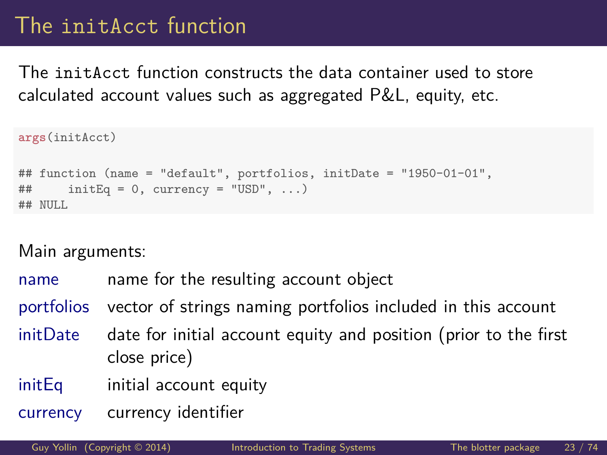## The initAcct function

The initAcct function constructs the data container used to store calculated account values such as aggregated P&L, equity, etc.

```
args(initAcct)
## function (name = "default", portfolios, initDate = "1950-01-01",
\# initEq = 0, currency = "USD", ...)
## NULL
```
- name name for the resulting account object
- portfolios vector of strings naming portfolios included in this account
- initDate date for initial account equity and position (prior to the first close price)
- initEq initial account equity
- currency currency identifier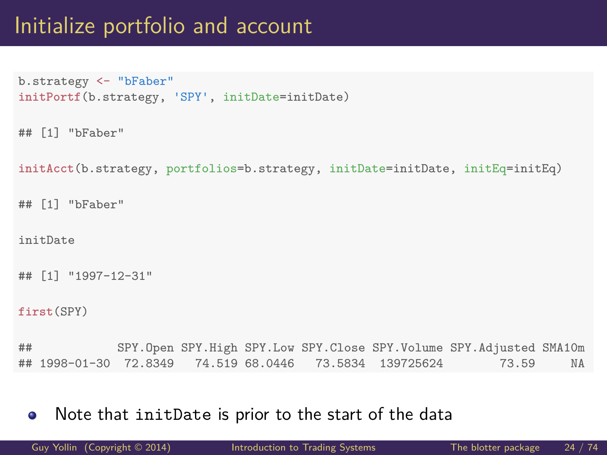## Initialize portfolio and account

```
b.strategy <- "bFaber"
initPortf(b.strategy, 'SPY', initDate=initDate)
```

```
## [1] "bFaber"
```
**initAcct**(b.strategy, portfolios=b.strategy, initDate=initDate, initEq=initEq)

```
## [1] "bFaber"
```
initDate

```
## [1] "1997-12-31"
```

```
first(SPY)
```
## SPY.Open SPY.High SPY.Low SPY.Close SPY.Volume SPY.Adjusted SMA10m ## 1998-01-30 72.8349 74.519 68.0446 73.5834 139725624 73.59 NA

Note that initDate is prior to the start of the data  $\bullet$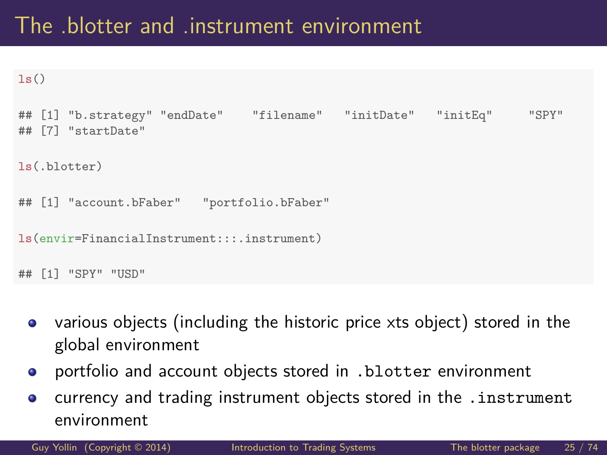## The .blotter and .instrument environment

```
ls()
```

```
## [1] "b.strategy" "endDate" "filename" "initDate" "initEq" "SPY"
## [7] "startDate"
ls(.blotter)
## [1] "account.bFaber" "portfolio.bFaber"
ls(envir=FinancialInstrument:::.instrument)
## [1] "SPY" "USD"
```
- various objects (including the historic price xts object) stored in the  $\bullet$ global environment
- portfolio and account objects stored in .blotter environment  $\bullet$
- currency and trading instrument objects stored in the .instrument  $\bullet$ environment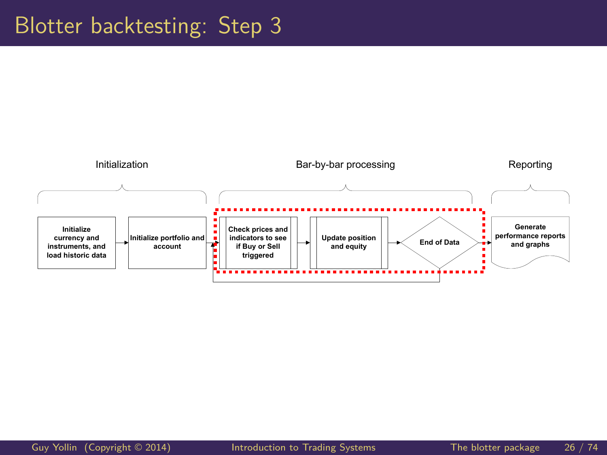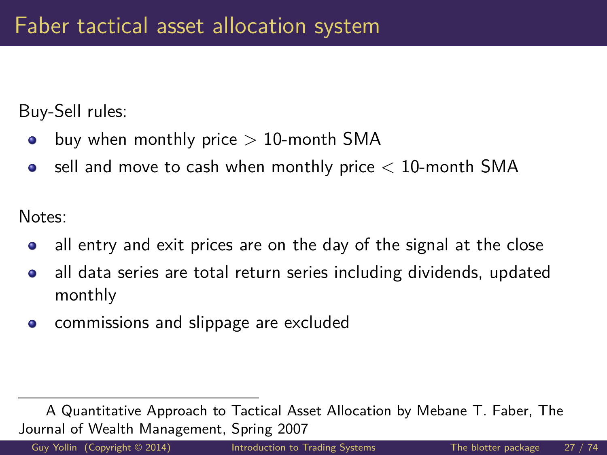Buy-Sell rules:

- buy when monthly price  $> 10$ -month SMA  $\bullet$
- sell and move to cash when monthly price  $< 10$ -month SMA  $\bullet$

Notes:

- all entry and exit prices are on the day of the signal at the close  $\bullet$
- all data series are total return series including dividends, updated  $\bullet$ monthly
- commissions and slippage are excluded  $\bullet$

A Quantitative Approach to Tactical Asset Allocation by Mebane T. Faber, The Journal of Wealth Management, Spring 2007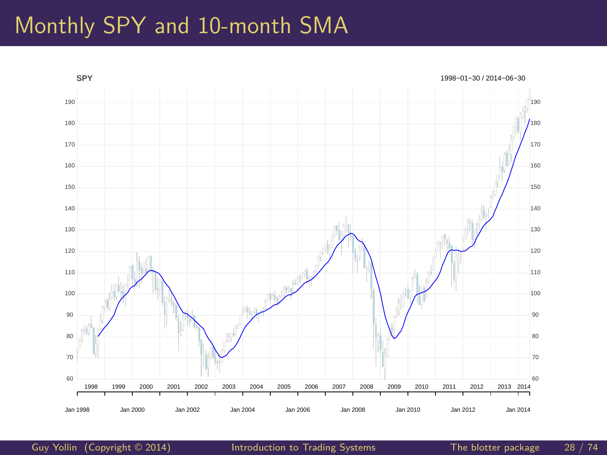#### Monthly SPY and 10-month SMA



[Guy Yollin](http://faculty.washington.edu/gyollin/) (Copyright © 2014) [Introduction to Trading Systems](#page-0-0) The blotter package 28 / 74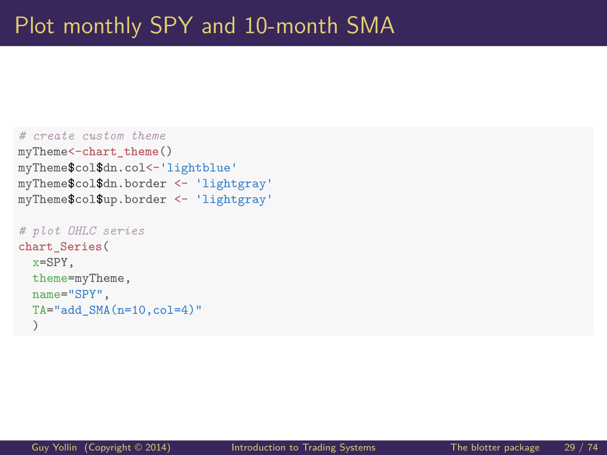```
# create custom theme
myTheme<-chart_theme()
myTheme$col$dn.col<-'lightblue'
myTheme$col$dn.border <- 'lightgray'
myTheme$col$up.border <- 'lightgray'
```

```
# plot OHLC series
chart_Series(
  x=SPY,
  theme=myTheme,
  name="SPY",
  TA="add <math>SMA(n=10, col=4)</math>")
```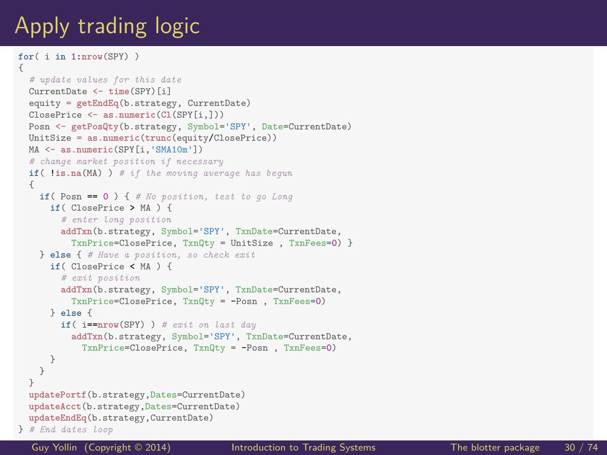## Apply trading logic

```
for( i in 1:nrow(SPY) )
{
  # update values for this date
  CurrentDate <- time(SPY)[i]
  equity = getEndEq(b.strategy, CurrentDate)
  ClosePrice <- as.numeric(Cl(SPY[i,]))
  Posn <- getPosQty(b.strategy, Symbol='SPY', Date=CurrentDate)
  UnitSize = as.numeric(trunc(equity/ClosePrice))
  MA <- as.numeric(SPY[i,'SMA10m'])
  # change market position if necessary
  if( !is.na(MA) ) # if the moving average has begun
  {
    if( Posn == 0 ) { # No position, test to go Long
      if( ClosePrice > MA ) {
        # enter long position
        addTxn(b.strategy, Symbol='SPY', TxnDate=CurrentDate,
          TxnPrice=ClosePrice, TxnQty = UnitSize , TxnFees=0) }
    } else { # Have a position, so check exit
      if( ClosePrice < MA ) {
        # exit position
        addTxn(b.strategy, Symbol='SPY', TxnDate=CurrentDate,
          TxnPrice=ClosePrice, TxnQty = -Posn , TxnFees=0)
      } else {
        if( i==nrow(SPY) ) # exit on last day
          addTxn(b.strategy, Symbol='SPY', TxnDate=CurrentDate,
            TxnPrice=ClosePrice, TxnQty = -Posn , TxnFees=0)
      }
    }
  }
  updatePortf(b.strategy,Dates=CurrentDate)
  updateAcct(b.strategy,Dates=CurrentDate)
  updateEndEq(b.strategy,CurrentDate)
} # End dates loop
```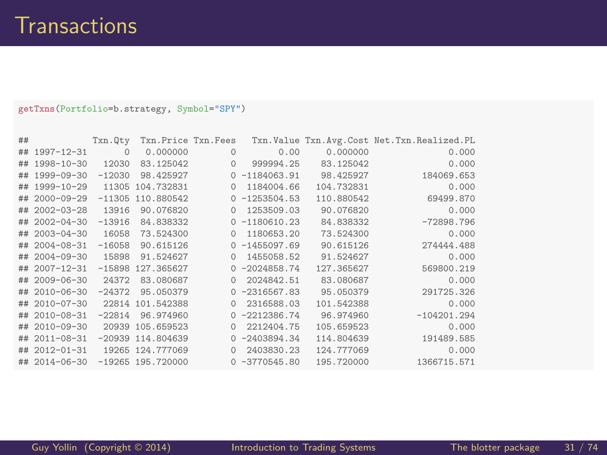**getTxns**(Portfolio=b.strategy, Symbol="SPY")

| ## |                   | Txn.Qty  | Txn.Price Txn.Fees  |          |                  |            | Txn. Value Txn. Avg. Cost Net. Txn. Realized. PL |
|----|-------------------|----------|---------------------|----------|------------------|------------|--------------------------------------------------|
|    | ## 1997-12-31     | $\Omega$ | 0.000000            | $\Omega$ | 0.00             | 0.000000   | 0.000                                            |
|    | ## 1998-10-30     | 12030    | 83.125042           | $\Omega$ | 999994.25        | 83.125042  | 0.000                                            |
|    | ## 1999-09-30     | $-12030$ | 98.425927           |          | $0 - 1184063.91$ | 98.425927  | 184069.653                                       |
| ## | 1999-10-29        | 11305    | 104.732831          | $\Omega$ | 1184004.66       | 104.732831 | 0.000                                            |
| ## | $2000 - 09 - 29$  | $-11305$ | 110.880542          |          | $0 -1253504.53$  | 110.880542 | 69499.870                                        |
| ## | $2002 - 03 - 28$  | 13916    | 90.076820           | $\Omega$ | 1253509.03       | 90.076820  | 0.000                                            |
| ## | $2002 - 04 - 30$  | $-13916$ | 84.838332           |          | $0 - 1180610.23$ | 84.838332  | $-72898.796$                                     |
| ## | $2003 - 04 - 30$  | 16058    | 73.524300           | $\Omega$ | 1180653.20       | 73.524300  | 0.000                                            |
| ## | $2004 - 08 - 31$  | $-16058$ | 90.615126           |          | $0 - 1455097.69$ | 90.615126  | 274444.488                                       |
| ## | $2004 - 09 - 30$  | 15898    | 91.524627           | $\Omega$ | 1455058.52       | 91.524627  | 0.000                                            |
|    | ## 2007-12-31     | $-15898$ | 127.365627          |          | $0 -2024858.74$  | 127.365627 | 569800.219                                       |
| ## | $2009 - 06 - 30$  | 24372    | 83.080687           | $\Omega$ | 2024842.51       | 83.080687  | 0.000                                            |
| ## | $2010 - 06 - 30$  | $-24372$ | 95.050379           |          | $0 -2316567.83$  | 95.050379  | 291725.326                                       |
| ## | $2010 - 07 - 30$  | 22814    | 101.542388          | $\Omega$ | 2316588.03       | 101.542388 | 0.000                                            |
| ## | $2010 - 08 - 31$  | $-22814$ | 96.974960           |          | $0 -2212386.74$  | 96.974960  | $-104201.294$                                    |
| ## | $2010 - 09 - 30$  |          | 20939 105.659523    | $\Omega$ | 2212404.75       | 105.659523 | 0.000                                            |
| ## | $2011 - 08 - 31$  |          | $-20939$ 114.804639 |          | $0 -2403894.34$  | 114.804639 | 191489.585                                       |
|    | $\#$ # 2012-01-31 |          | 19265 124.777069    | $\Omega$ | 2403830.23       | 124.777069 | 0.000                                            |
|    | ## 2014-06-30     |          | $-19265$ 195.720000 |          | $0 -3770545.80$  | 195.720000 | 1366715.571                                      |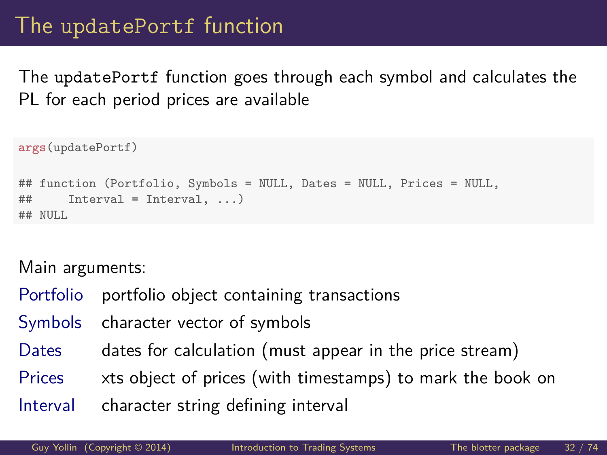### The updatePortf function

The updatePortf function goes through each symbol and calculates the PL for each period prices are available

```
args(updatePortf)
## function (Portfolio, Symbols = NULL, Dates = NULL, Prices = NULL,
## Interval = Interval, ...)
## NULL.
```
- Portfolio portfolio object containing transactions
- Symbols character vector of symbols
- Dates dates for calculation (must appear in the price stream)
- Prices xts object of prices (with timestamps) to mark the book on
- Interval character string defining interval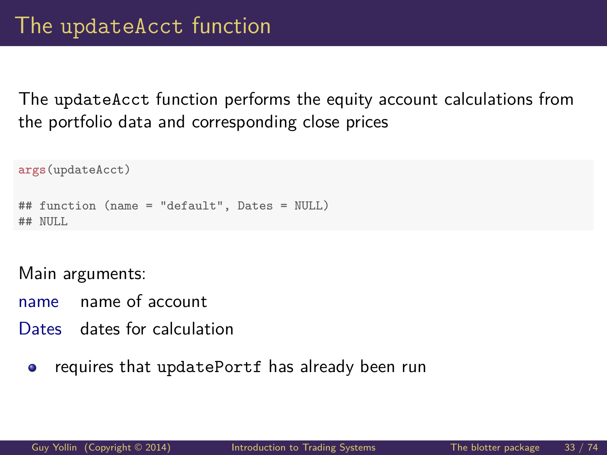The updateAcct function performs the equity account calculations from the portfolio data and corresponding close prices

```
args(updateAcct)
## function (name = "default", Dates = NULL)
## NULL.
```
- name name of account
- Dates dates for calculation
	- requires that updatePortf has already been run  $\bullet$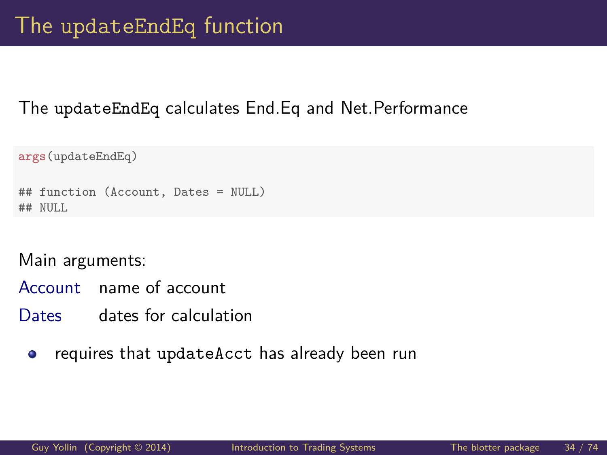#### The updateEndEq calculates End.Eq and Net.Performance

```
args(updateEndEq)
## function (Account, Dates = NULL)
## NULL.
```
- Account name of account
- Dates dates for calculation
	- requires that updateAcct has already been run  $\bullet$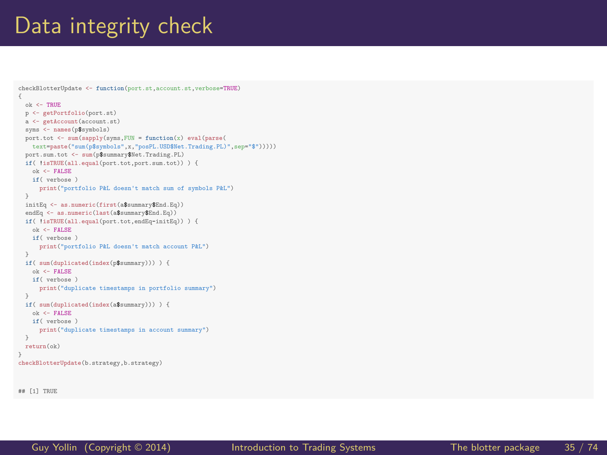#### Data integrity check

```
checkBlotterUpdate <- function(port.st,account.st,verbose=TRUE)
{
 ok <- TRUE
 p <- getPortfolio(port.st)
 a <- getAccount(account.st)
 syms <- names(p$symbols)
 port.tot <- sum(sapply(syms,FUN = function(x) eval(parse(
    text=paste("sum(p$symbols",x,"posPL.USD$Net.Trading.PL)",sep="$")))))
 port.sum.tot <- sum(p$summary$Net.Trading.PL)
 if( !isTRUE(all.equal(port.tot,port.sum.tot)) ) {
   ok <- FALSE
    if( verbose )
      print("portfolio P&L doesn't match sum of symbols P&L")
 initEq <- as.numeric(first(a$summary$End.Eq))
 endEq <- as.numeric(last(a$summary$End.Eq))
 if( !isTRUE(all.equal(port.tot,endEq-initEq)) ) {
    ok <- FALSE
    if( verbose )
      print("portfolio P&L doesn't match account P&L")
  }
 if( sum(duplicated(index(p$summary))) ) {
   ok <- FALSE
    if( verbose )
      print("duplicate timestamps in portfolio summary")
 if( sum(duplicated(index(a$summary))) ) {
    ok <- FALSE
    if( verbose )
      print("duplicate timestamps in account summary")
 return(ok)
checkBlotterUpdate(b.strategy,b.strategy)
```
## [1] TRUE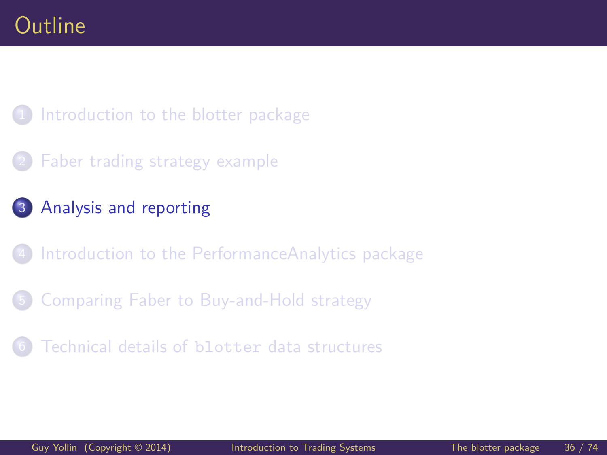<span id="page-35-0"></span>1 [Introduction to the blotter package](#page-2-0)

- [Faber trading strategy example](#page-10-0)
- 3 [Analysis and reporting](#page-35-0)
- [Introduction to the PerformanceAnalytics package](#page-44-0)
- 5 [Comparing Faber to Buy-and-Hold strategy](#page-52-0)
- [Technical details of](#page-61-0) blotter data structures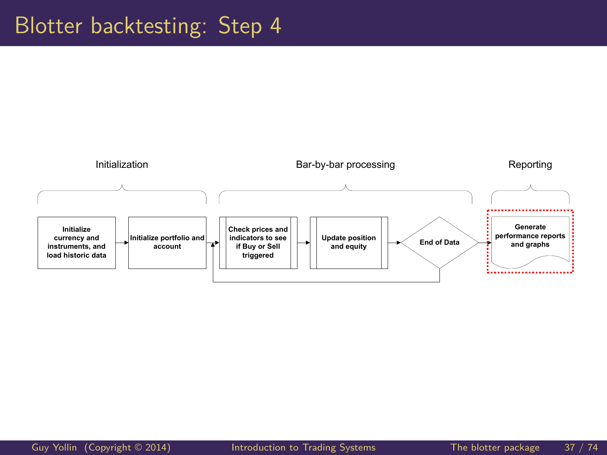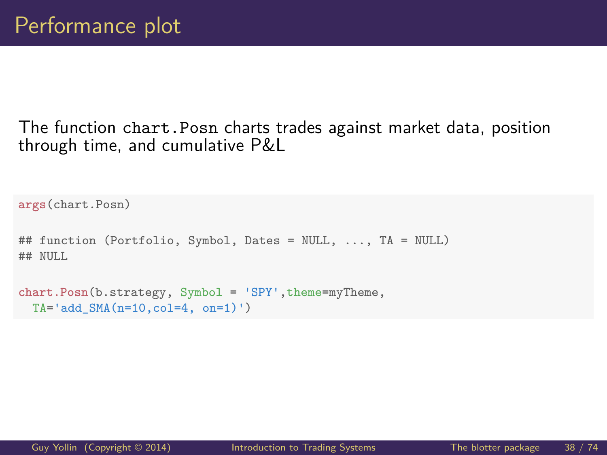#### The function chart.Posn charts trades against market data, position through time, and cumulative P&L

```
args(chart.Posn)
## function (Portfolio, Symbol, Dates = NULL, ..., TA = NULL)
## NULL
chart.Posn(b.strategy, Symbol = 'SPY', theme=myTheme,
 TA='add SMA(n=10,col=4, on=1)')
```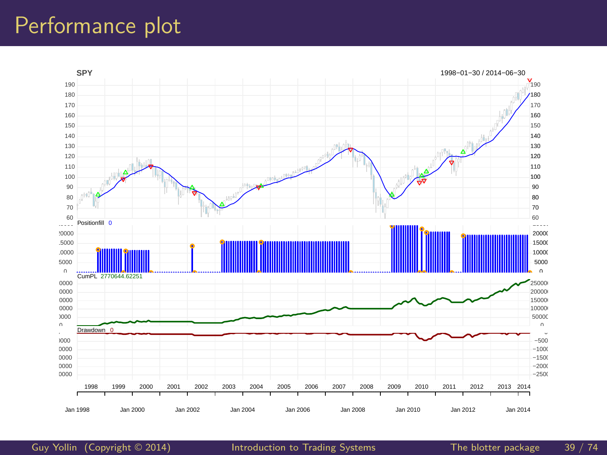## Performance plot



[Guy Yollin](http://faculty.washington.edu/gyollin/) (Copyright © 2014) [Introduction to Trading Systems](#page-0-0) The blotter package 39 / 74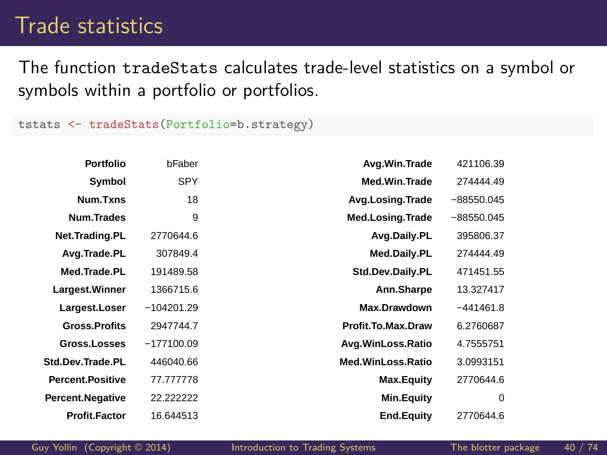## Trade statistics

The function tradeStats calculates trade-level statistics on a symbol or symbols within a portfolio or portfolios.

tstats <- **tradeStats**(Portfolio=b.strategy)

| Portfolio               | bFaber       | Avg.Win.Trade      | 421106.39    |
|-------------------------|--------------|--------------------|--------------|
| Symbol                  | <b>SPY</b>   | Med.Win.Trade      | 274444.49    |
| Num.Txns                | 18           | Avg.Losing.Trade   | $-88550.045$ |
| Num.Trades              | 9            | Med.Losing.Trade   | $-88550.045$ |
| Net.Trading.PL          | 2770644.6    | Avg.Daily.PL       | 395806.37    |
| Avg.Trade.PL            | 307849.4     | Med.Daily.PL       | 274444.49    |
| Med.Trade.PL            | 191489.58    | Std.Dev.Daily.PL   | 471451.55    |
| Largest. Winner         | 1366715.6    | Ann.Sharpe         | 13.327417    |
| Largest.Loser           | $-104201.29$ | Max.Drawdown       | $-441461.8$  |
| <b>Gross.Profits</b>    | 2947744.7    | Profit.To.Max.Draw | 6.2760687    |
| Gross.Losses            | $-177100.09$ | Avg.WinLoss.Ratio  | 4.7555751    |
| Std.Dev.Trade.PL        | 446040.66    | Med.WinLoss.Ratio  | 3.0993151    |
| <b>Percent.Positive</b> | 77.777778    | Max.Equity         | 2770644.6    |
| Percent.Negative        | 22.222222    | Min.Equity         | $\Omega$     |
| <b>Profit.Factor</b>    | 16.644513    | <b>End.Equity</b>  | 2770644.6    |

[Guy Yollin](http://faculty.washington.edu/gyollin/) (Copyright © 2014) [Introduction to Trading Systems](#page-0-0) The blotter package 40 / 74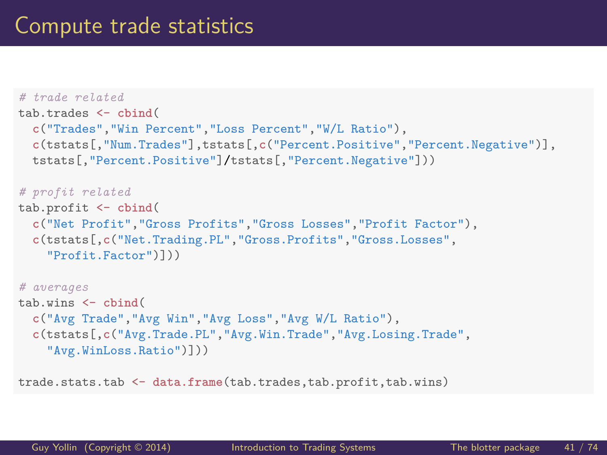```
# trade related
tab.trades <- cbind(
 c("Trades","Win Percent","Loss Percent","W/L Ratio"),
 c(tstats[,"Num.Trades"],tstats[,c("Percent.Positive","Percent.Negative")],
 tstats[,"Percent.Positive"]/tstats[,"Percent.Negative"]))
# profit related
tab.profit <- cbind(
 c("Net Profit","Gross Profits","Gross Losses","Profit Factor"),
  c(tstats[,c("Net.Trading.PL","Gross.Profits","Gross.Losses",
    "Profit.Factor")]))
# averages
tab.wins <- cbind(
 c("Avg Trade","Avg Win","Avg Loss","Avg W/L Ratio"),
 c(tstats[,c("Avg.Trade.PL","Avg.Win.Trade","Avg.Losing.Trade",
    "Avg.WinLoss.Ratio")]))
```
trade.stats.tab <- **data.frame**(tab.trades,tab.profit,tab.wins)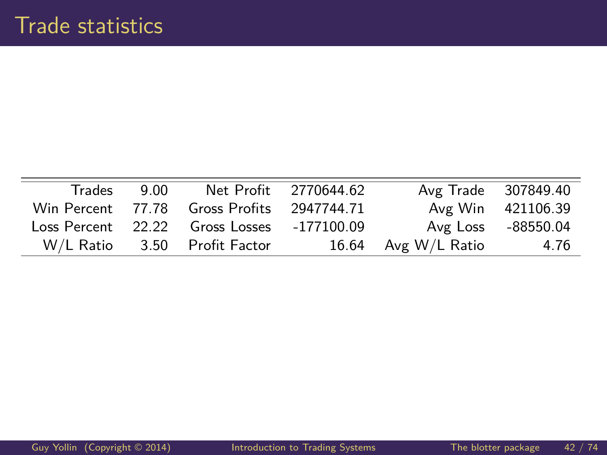| Trades    | 9.00 |                                            | Net Profit 2770644.62 | Avg Trade 307849.40 |                    |
|-----------|------|--------------------------------------------|-----------------------|---------------------|--------------------|
|           |      | Win Percent 77.78 Gross Profits 2947744.71 |                       |                     | Avg Win 421106.39  |
|           |      | Loss Percent 22.22 Gross Losses -177100.09 |                       |                     | Avg Loss -88550.04 |
| W/L Ratio |      | 3.50 Profit Factor                         |                       | 16.64 Avg W/L Ratio | 4.76               |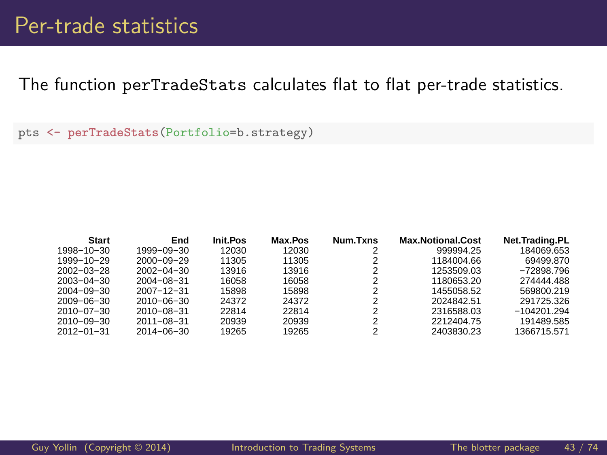The function perTradeStats calculates flat to flat per-trade statistics.

pts <- **perTradeStats**(Portfolio=b.strategy)

| <b>Start</b>     | End              | Init.Pos | Max.Pos | Num.Txns       | <b>Max.Notional.Cost</b> | Net.Trading.PL |
|------------------|------------------|----------|---------|----------------|--------------------------|----------------|
| 1998-10-30       | $1999 - 09 - 30$ | 12030    | 12030   |                | 999994.25                | 184069.653     |
| 1999-10-29       | $2000 - 09 - 29$ | 11305    | 11305   |                | 1184004.66               | 69499.870      |
| $2002 - 03 - 28$ | $2002 - 04 - 30$ | 13916    | 13916   | 2              | 1253509.03               | $-72898.796$   |
| $2003 - 04 - 30$ | $2004 - 08 - 31$ | 16058    | 16058   | 2              | 1180653.20               | 274444.488     |
| $2004 - 09 - 30$ | $2007 - 12 - 31$ | 15898    | 15898   | 2              | 1455058.52               | 569800.219     |
| $2009 - 06 - 30$ | $2010 - 06 - 30$ | 24372    | 24372   | 2              | 2024842.51               | 291725.326     |
| $2010 - 07 - 30$ | $2010 - 08 - 31$ | 22814    | 22814   | $\overline{2}$ | 2316588.03               | $-104201.294$  |
| $2010 - 09 - 30$ | $2011 - 08 - 31$ | 20939    | 20939   | 2              | 2212404.75               | 191489.585     |
| $2012 - 01 - 31$ | $2014 - 06 - 30$ | 19265    | 19265   | 2              | 2403830.23               | 1366715.571    |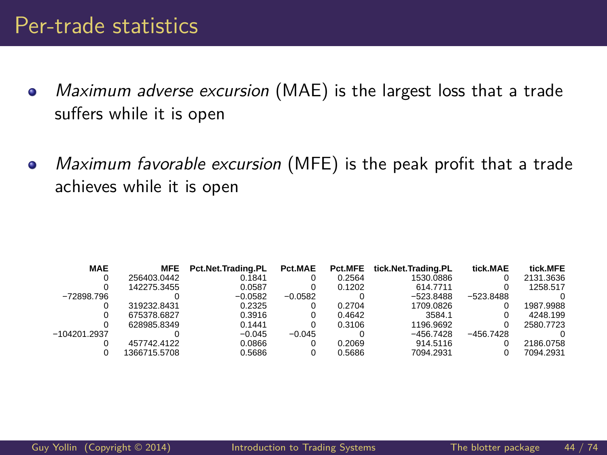#### Per-trade statistics

- Maximum adverse excursion (MAE) is the largest loss that a trade  $\bullet$ suffers while it is open
- Maximum favorable excursion (MFE) is the peak profit that a trade  $\bullet$ achieves while it is open

| <b>MAE</b>   | MFE         | Pct.Net.Trading.PL | Pct.MAE   | Pct.MFE | tick.Net.Trading.PL | tick.MAE    | tick.MFE  |
|--------------|-------------|--------------------|-----------|---------|---------------------|-------------|-----------|
|              | 256403.0442 | 0.1841             |           | 0.2564  | 1530.0886           |             | 2131.3636 |
|              | 142275.3455 | 0.0587             |           | 0.1202  | 614.7711            |             | 1258.517  |
| -72898.796   |             | $-0.0582$          | $-0.0582$ |         | $-523.8488$         | $-523.8488$ |           |
|              | 319232.8431 | 0.2325             |           | 0.2704  | 1709.0826           |             | 1987.9988 |
|              | 675378.6827 | 0.3916             |           | 0.4642  | 3584.1              |             | 4248.199  |
|              | 628985.8349 | 0.1441             |           | 0.3106  | 1196.9692           |             | 2580.7723 |
| -104201.2937 |             | $-0.045$           | $-0.045$  |         | $-456.7428$         | $-456.7428$ |           |
|              | 457742.4122 | 0.0866             |           | 0.2069  | 914.5116            |             | 2186.0758 |
|              | 366715.5708 | 0.5686             |           | 0.5686  | 7094.2931           |             | 7094.2931 |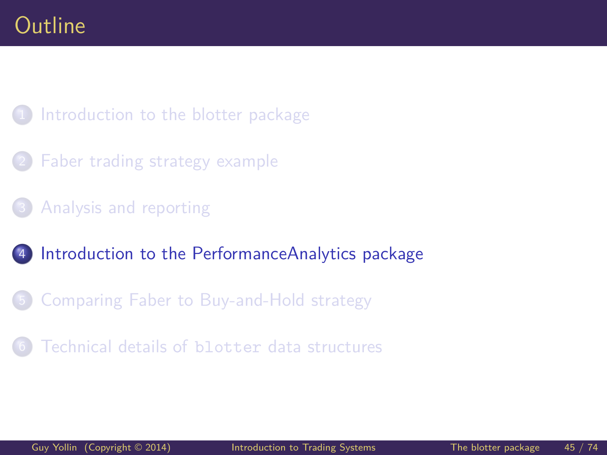<span id="page-44-0"></span>1 [Introduction to the blotter package](#page-2-0)

- [Faber trading strategy example](#page-10-0)
- [Analysis and reporting](#page-35-0)
- 4 [Introduction to the PerformanceAnalytics package](#page-44-0)
- 5 [Comparing Faber to Buy-and-Hold strategy](#page-52-0)
- [Technical details of](#page-61-0) blotter data structures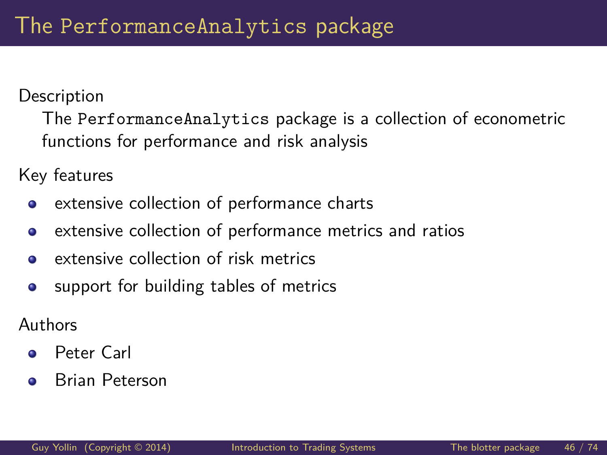**Description** 

The PerformanceAnalytics package is a collection of econometric functions for performance and risk analysis

Key features

- extensive collection of performance charts  $\bullet$
- extensive collection of performance metrics and ratios  $\bullet$
- extensive collection of risk metrics  $\bullet$
- support for building tables of metrics  $\bullet$

Authors

- Peter Carl  $\bullet$
- Brian Peterson  $\bullet$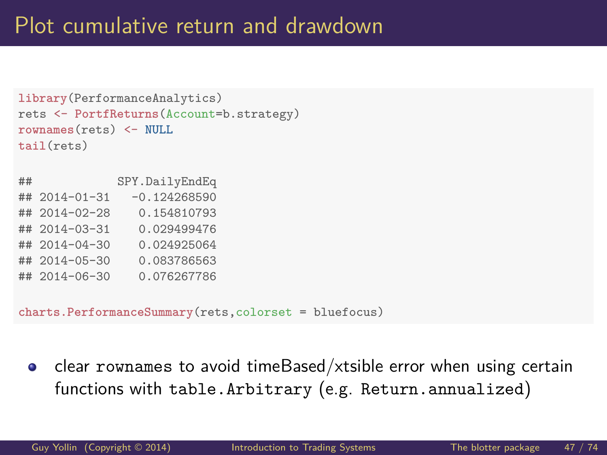```
library(PerformanceAnalytics)
rets <- PortfReturns(Account=b.strategy)
rownames(rets) <- NULL
tail(rets)
## SPY.DailyEndEq
\## 2014-01-31 -0.124268590
## 2014-02-28 0.154810793
## 2014-03-31 0.029499476
## 2014-04-30 0.024925064
## 2014-05-30 0.083786563
## 2014-06-30 0.076267786
```
**charts.PerformanceSummary**(rets,colorset = bluefocus)

clear rownames to avoid timeBased/xtsible error when using certain  $\bullet$ functions with table.Arbitrary (e.g. Return.annualized)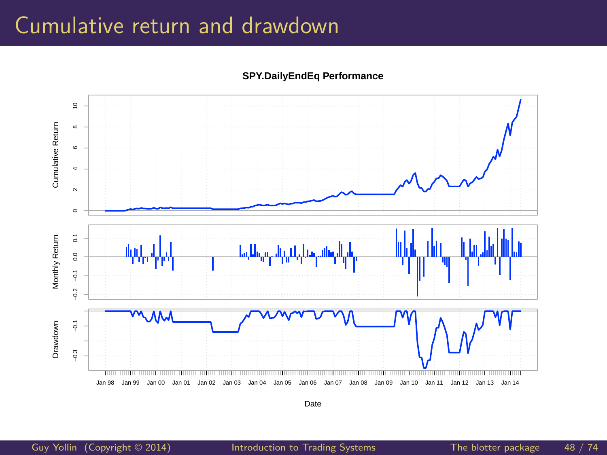## Cumulative return and drawdown

**SPY.DailyEndEq Performance**



Date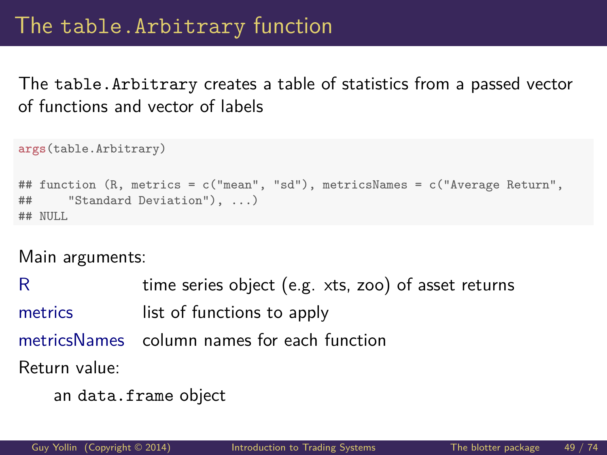The table.Arbitrary creates a table of statistics from a passed vector of functions and vector of labels

```
args(table.Arbitrary)
## function (R, metrics = c("mean", "sd"), metricsNames = c("Average Return",
## "Standard Deviation"), ...)
## NULL
```
Main arguments:

R time series object (e.g. xts, zoo) of asset returns metrics list of functions to apply metricsNames column names for each function Return value:

```
an data.frame object
```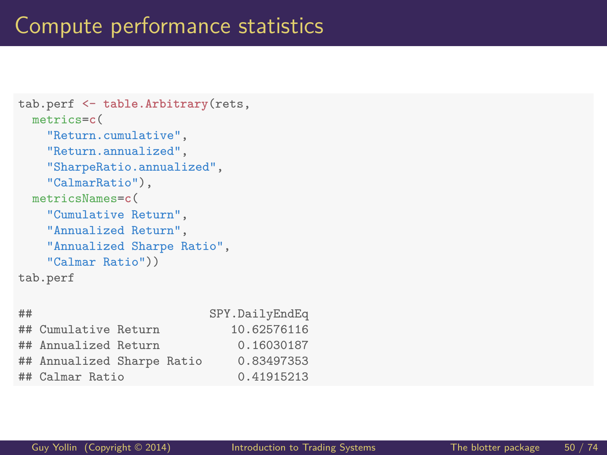```
tab.perf <- table.Arbitrary(rets,
  metrics=c(
    "Return.cumulative",
    "Return.annualized",
    "SharpeRatio.annualized",
    "CalmarRatio"),
  metricsNames=c(
    "Cumulative Return",
    "Annualized Return",
    "Annualized Sharpe Ratio",
    "Calmar Ratio"))
tab.perf
```

| ## |                            |  | SPY.DailyEndEq |
|----|----------------------------|--|----------------|
|    | ## Cumulative Return       |  | 10.62576116    |
|    | ## Annualized Return       |  | 0.16030187     |
|    | ## Annualized Sharpe Ratio |  | 0.83497353     |
|    | ## Calmar Ratio            |  | 0.41915213     |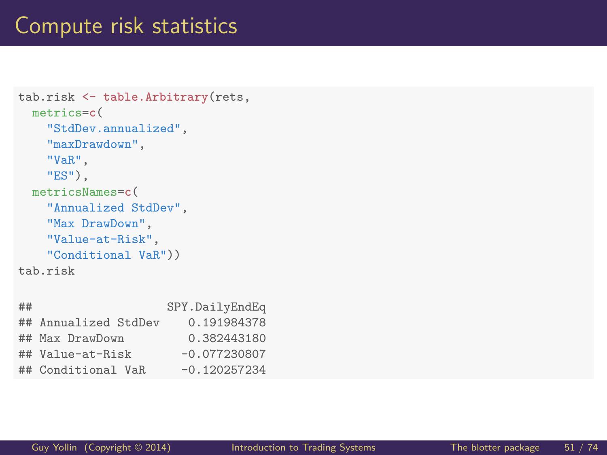## Compute risk statistics

```
tab.risk <- table.Arbitrary(rets,
  metrics=c(
    "StdDev.annualized",
    "maxDrawdown",
    "VaR",
    "ES"),
  metricsNames=c(
    "Annualized StdDev",
    "Max DrawDown",
    "Value-at-Risk",
    "Conditional VaR"))
tab.risk
```

| ##                   | SPY.DailyEndEq |
|----------------------|----------------|
| ## Annualized StdDev | 0.191984378    |
| ## Max DrawDown      | 0.382443180    |
| ## Value-at-Risk     | $-0.077230807$ |
| ## Conditional VaR   | $-0.120257234$ |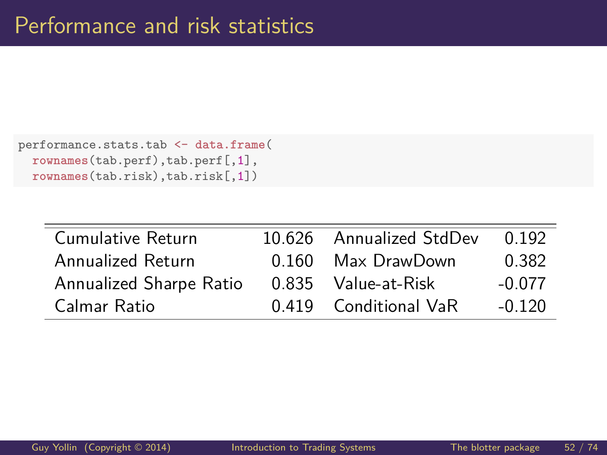```
performance.stats.tab <- data.frame(
 rownames(tab.perf),tab.perf[,1],
 rownames(tab.risk),tab.risk[,1])
```

| Cumulative Return       | 10.626 Annualized StdDev | 0.192    |
|-------------------------|--------------------------|----------|
| Annualized Return       | 0.160 Max DrawDown       | 0.382    |
| Annualized Sharpe Ratio | 0.835 Value-at-Risk      | -0.077   |
| Calmar Ratio            | 0.419 Conditional VaR    | $-0.120$ |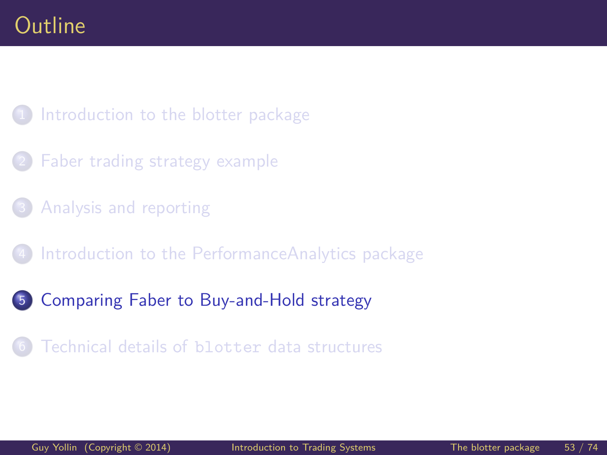#### <span id="page-52-0"></span>1 [Introduction to the blotter package](#page-2-0)

- [Faber trading strategy example](#page-10-0)
- [Analysis and reporting](#page-35-0)
- 4 [Introduction to the PerformanceAnalytics package](#page-44-0)
- 5 [Comparing Faber to Buy-and-Hold strategy](#page-52-0)
	- [Technical details of](#page-61-0) blotter data structures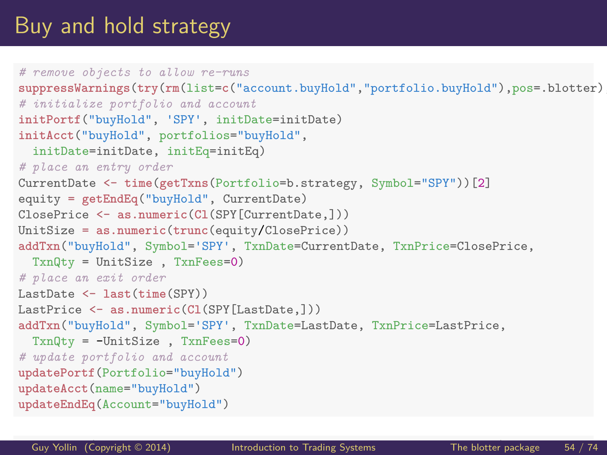# Buy and hold strategy

```
# remove objects to allow re-runs
suppressWarnings(try(rm(list=c("account.buvHold", "portfolio.buvHold"), pos=.blotter)# initialize portfolio and account
initPortf("buyHold", 'SPY', initDate=initDate)
initAcct("buyHold", portfolios="buyHold",
  initDate=initDate, initEq=initEq)
# place an entry order
CurrentDate <- time(getTxns(Portfolio=b.strategy, Symbol="SPY"))[2]
equity = getEndEq("buyHold", CurrentDate)
ClosePrice <- as.numeric(Cl(SPY[CurrentDate,]))
UnitSize = as.numeric(trunc(equity/ClosePrice))
addTxn("buyHold", Symbol='SPY', TxnDate=CurrentDate, TxnPrice=ClosePrice,
  TxnQty = UnitSize , TxnFees=0)
# place an exit order
LastDate <- last(time(SPY))
LastPrice <- as.numeric(Cl(SPY[LastDate,]))
addTxn("buyHold", Symbol='SPY', TxnDate=LastDate, TxnPrice=LastPrice,
  TxnQty = -UnitSize , TxnFees=0)
# update portfolio and account
updatePortf(Portfolio="buyHold")
updateAcct(name="buyHold")
updateEndEq(Account="buyHold")
```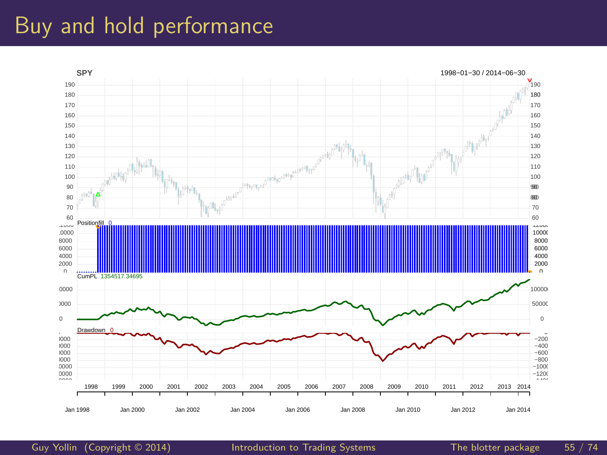## Buy and hold performance



[Guy Yollin](http://faculty.washington.edu/gyollin/) (Copyright © 2014) [Introduction to Trading Systems](#page-0-0) The blotter package 55 / 74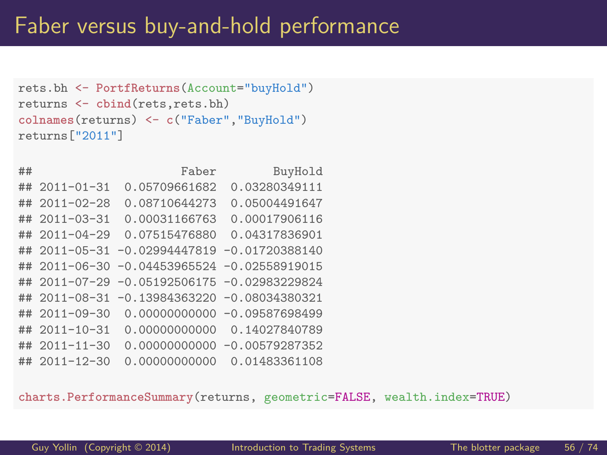```
rets.bh <- PortfReturns(Account="buyHold")
returns <- cbind(rets,rets.bh)
colnames(returns) <- c("Faber","BuyHold")
returns["2011"]
```

| ## |                   | Faber                            | BuyHold                         |
|----|-------------------|----------------------------------|---------------------------------|
| ## | $2011 - 01 - 31$  | 0.05709661682                    | 0.03280349111                   |
|    | $\#$ # 2011-02-28 | 0.08710644273                    | 0.05004491647                   |
|    | $\#$ # 2011-03-31 | 0.00031166763                    | 0.00017906116                   |
|    | $\#$ # 2011-04-29 | 0.07515476880                    | 0.04317836901                   |
|    | $\#$ # 2011-05-31 | $-0.02994447819 - 0.01720388140$ |                                 |
| ## | $2011 - 06 - 30$  | $-0.04453965524 -0.02558919015$  |                                 |
| ## | $2011 - 07 - 29$  | $-0.05192506175 - 0.02983229824$ |                                 |
| ## | $2011 - 08 - 31$  | $-0.13984363220 -0.08034380321$  |                                 |
| ## | $2011 - 09 - 30$  |                                  | $0.00000000000 - 0.09587698499$ |
| ## | $2011 - 10 - 31$  | 0.00000000000                    | 0.14027840789                   |
|    | $\#$ # 2011-11-30 | 0.0000000000                     | $-0.00579287352$                |
| ## | $2011 - 12 - 30$  | 0.00000000000                    | 0.01483361108                   |

**charts.PerformanceSummary**(returns, geometric=FALSE, wealth.index=TRUE)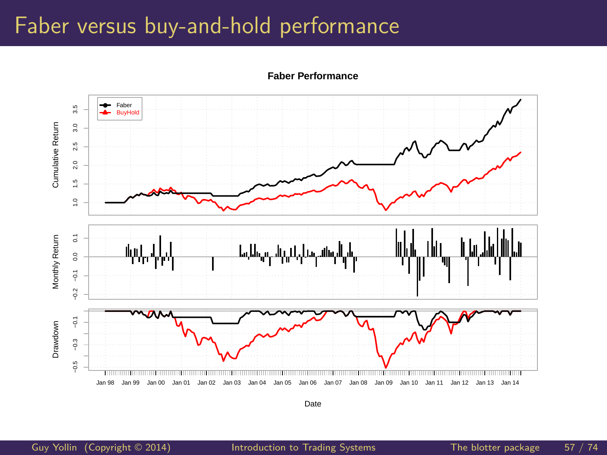## Faber versus buy-and-hold performance



**Faber Performance**

Date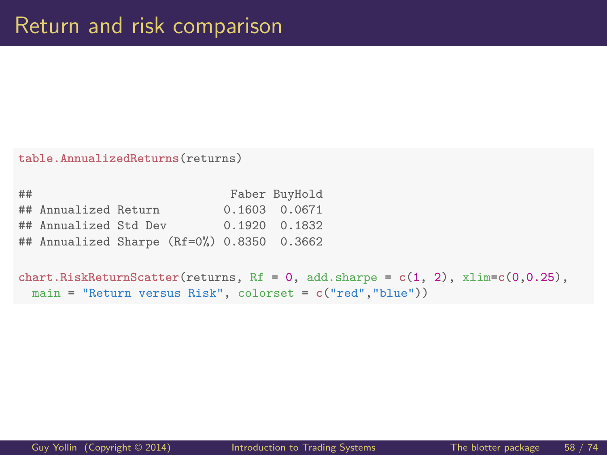**table.AnnualizedReturns**(returns)

## Faber BuyHold ## Annualized Return 0.1603 0.0671 ## Annualized Std Dev 0.1920 0.1832 ## Annualized Sharpe (Rf=0%) 0.8350 0.3662

```
chart.RiskReturnScatter(returns, Rf = 0, add.shape = c(1, 2), xlim=c(0, 0.25),main = "Return versus Risk", colorset = c("red","blue"))
```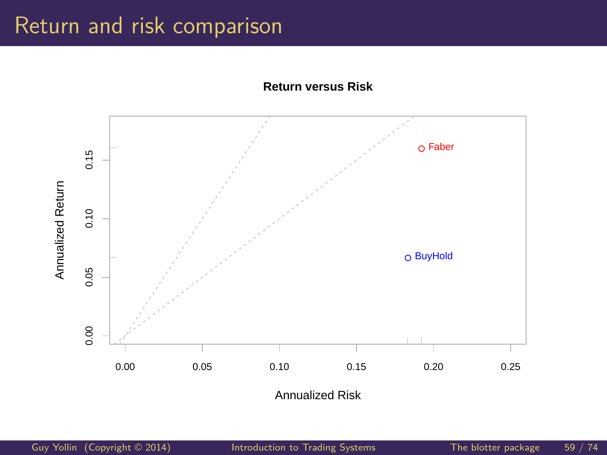## Return and risk comparison



**Return versus Risk**

Annualized Risk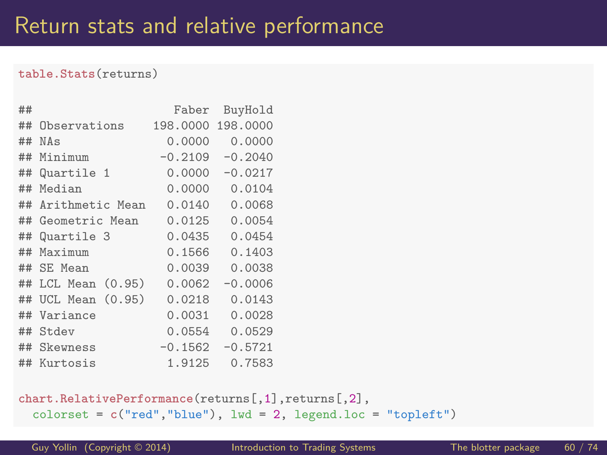#### **table.Stats**(returns)

| ## |                     | Faber     | BuyHold   |
|----|---------------------|-----------|-----------|
| ## | Observations        | 198,0000  | 198,0000  |
| ## | NAs                 | 0.0000    | 0.0000    |
| ## | Minimum             | $-0.2109$ | $-0.2040$ |
| ## | Quartile 1          | 0.0000    | $-0.0217$ |
| ## | Median              | 0.0000    | 0.0104    |
| ## | Arithmetic Mean     | 0.0140    | 0.0068    |
| ## | Geometric Mean      | 0.0125    | 0.0054    |
| ## | Quartile 3          | 0.0435    | 0.0454    |
| ## | Maximum             | 0.1566    | 0.1403    |
| ## | SE Mean             | 0.0039    | 0.0038    |
| ## | $LCL$ Mean $(0.95)$ | 0.0062    | $-0.0006$ |
| ## | UCL Mean $(0.95)$   | 0.0218    | 0.0143    |
| ## | Variance            | 0.0031    | 0.0028    |
|    | ## Stdev            | 0.0554    | 0.0529    |
| ## | Skewness            | $-0.1562$ | $-0.5721$ |
|    | ## Kurtosis         | 1.9125    | 0.7583    |

**chart.RelativePerformance**(returns[,1],returns[,2], colorset = **c**("red","blue"), lwd = 2, legend.loc = "topleft")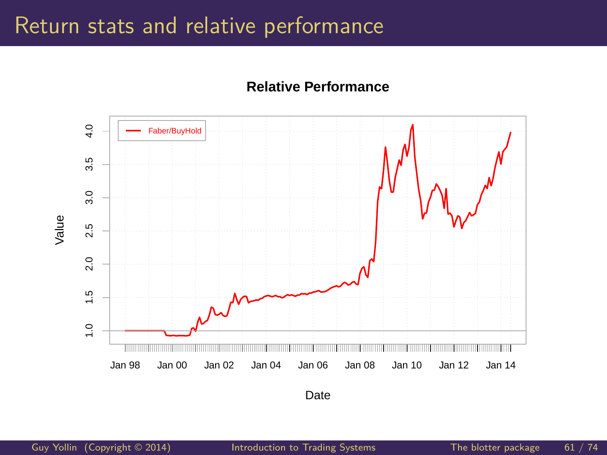#### Return stats and relative performance





Date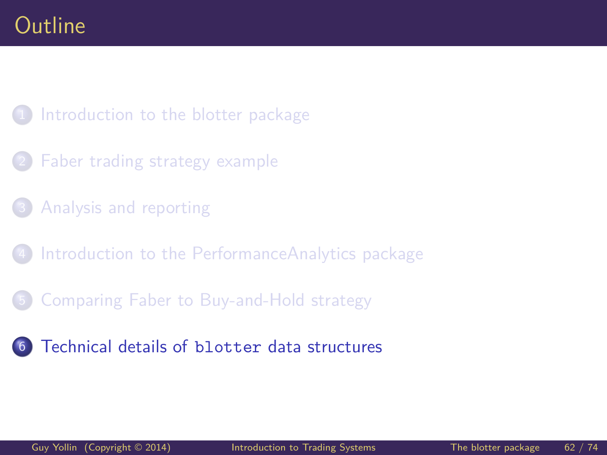#### <span id="page-61-0"></span>1 [Introduction to the blotter package](#page-2-0)

- [Faber trading strategy example](#page-10-0)
- [Analysis and reporting](#page-35-0)
- [Introduction to the PerformanceAnalytics package](#page-44-0)
- 5 [Comparing Faber to Buy-and-Hold strategy](#page-52-0)
- <sup>6</sup> [Technical details of](#page-61-0) blotter data structures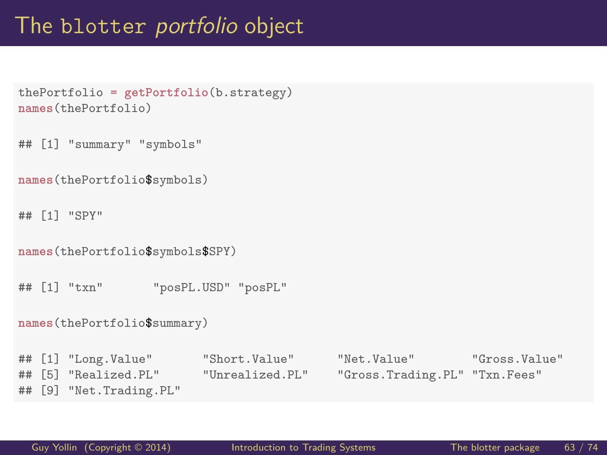### The blotter portfolio object

```
thePortfolio = getPortfolio(b.strategy)
names(thePortfolio)
```
## [1] "summary" "symbols"

```
names(thePortfolio$symbols)
```
## [1] "SPY"

```
names(thePortfolio$symbols$SPY)
```
## [1] "txn" "posPL.USD" "posPL"

```
names(thePortfolio$summary)
```

```
## [1] "Long.Value" "Short.Value" "Net.Value" "Gross.Value"
## [5] "Realized.PL" "Unrealized.PL" "Gross.Trading.PL" "Txn.Fees"
## [9] "Net.Trading.PL"
```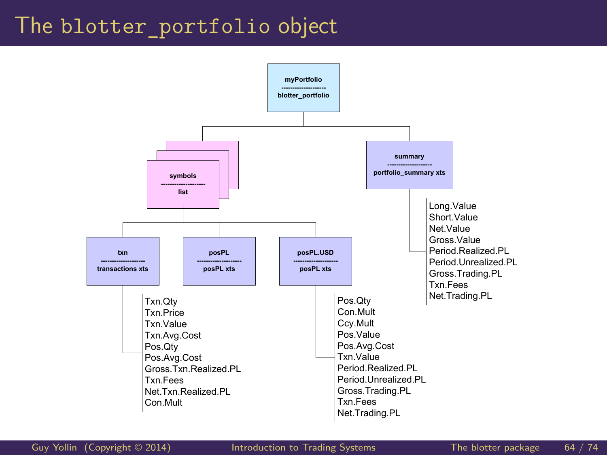#### The blotter portfolio object



[Guy Yollin](http://faculty.washington.edu/gyollin/) (Copyright © 2014) [Introduction to Trading Systems](#page-0-0) The blotter package 64 / 74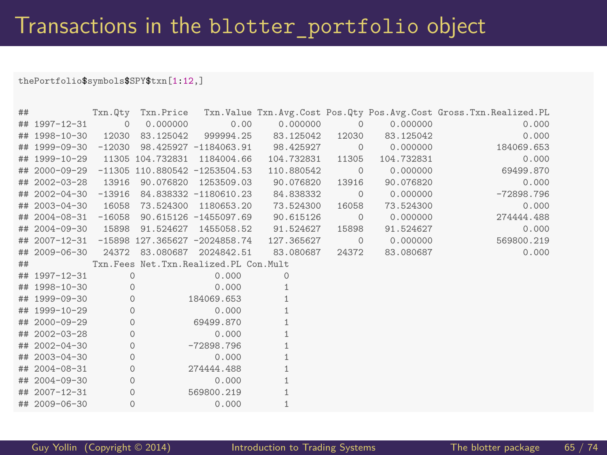#### thePortfolio\$symbols\$SPY\$txn[1:12,]

| ## |                      |          |          |                                             |                                                       |                |            | Txn.Qty Txn.Price Txn.Value Txn.Avg.Cost Pos.Qty Pos.Avg.Cost Gross.Txn.Realized.PL |
|----|----------------------|----------|----------|---------------------------------------------|-------------------------------------------------------|----------------|------------|-------------------------------------------------------------------------------------|
|    | ## 1997-12-31        | $\circ$  | 0.000000 | 0.00                                        | 0.000000                                              | $\Omega$       | 0.000000   | 0.000                                                                               |
|    |                      |          |          |                                             | ## 1998-10-30  12030  83.125042  999994.25  83.125042 | 12030          | 83.125042  | 0.000                                                                               |
|    | ## 1999-09-30 -12030 |          |          |                                             | 98.425927 -1184063.91 98.425927                       | $\overline{0}$ | 0.000000   | 184069.653                                                                          |
|    |                      |          |          | ## 1999-10-29 11305 104.732831 1184004.66   | 104.732831                                            | 11305          | 104.732831 | 0.000                                                                               |
|    |                      |          |          | ## 2000-09-29 -11305 110.880542 -1253504.53 | 110.880542                                            | $\overline{0}$ | 0.000000   | 69499.870                                                                           |
|    | ## 2002-03-28 13916  |          |          | 90.076820 1253509.03                        | 90.076820                                             | 13916          | 90.076820  | 0.000                                                                               |
|    |                      |          |          |                                             | ## 2002-04-30 -13916 84.838332 -1180610.23 84.838332  | $\circ$        | 0.000000   | $-72898.796$                                                                        |
|    | ## 2003-04-30 16058  |          |          | 73.524300 1180653.20                        | 73.524300                                             | 16058          | 73.524300  | 0.000                                                                               |
|    |                      |          |          | ## 2004-08-31 -16058 90.615126 -1455097.69  | 90.615126                                             | $\circ$        | 0.000000   | 274444.488                                                                          |
|    |                      |          |          | ## 2004-09-30 15898 91.524627 1455058.52    | 91.524627                                             | 15898          | 91.524627  | 0.000                                                                               |
|    |                      |          |          | ## 2007-12-31 -15898 127.365627 -2024858.74 | 127.365627                                            | $\circ$        | 0.000000   | 569800.219                                                                          |
|    |                      |          |          | ## 2009-06-30 24372 83.080687 2024842.51    | 83.080687                                             | 24372          | 83.080687  | 0.000                                                                               |
| ## |                      |          |          | Txn. Fees Net. Txn. Realized. PL Con. Mult  |                                                       |                |            |                                                                                     |
|    | ## 1997-12-31        | $\Omega$ |          | 0.000                                       | $\Omega$                                              |                |            |                                                                                     |
|    | ## 1998-10-30        | $\Omega$ |          | 0.000                                       | 1                                                     |                |            |                                                                                     |
|    | ## 1999-09-30        | $\circ$  |          | 184069.653                                  |                                                       |                |            |                                                                                     |
|    | ## 1999-10-29        | $\circ$  |          | 0.000                                       |                                                       |                |            |                                                                                     |
|    | ## 2000-09-29        | $\circ$  |          | 69499.870                                   |                                                       |                |            |                                                                                     |
|    | $\#$ # 2002-03-28    | $\circ$  |          | 0.000                                       |                                                       |                |            |                                                                                     |
|    | ## 2002-04-30        | $\circ$  |          | $-72898.796$                                |                                                       |                |            |                                                                                     |
|    | ## 2003-04-30        | $\circ$  |          | 0.000                                       | 1                                                     |                |            |                                                                                     |
|    | ## 2004-08-31        | $\circ$  |          | 274444.488                                  |                                                       |                |            |                                                                                     |
|    | ## 2004-09-30        | $\circ$  |          | 0.000                                       |                                                       |                |            |                                                                                     |
|    | $\#$ # 2007-12-31    | $\circ$  |          | 569800.219                                  |                                                       |                |            |                                                                                     |
|    | ## 2009-06-30        | $\circ$  |          | 0.000                                       |                                                       |                |            |                                                                                     |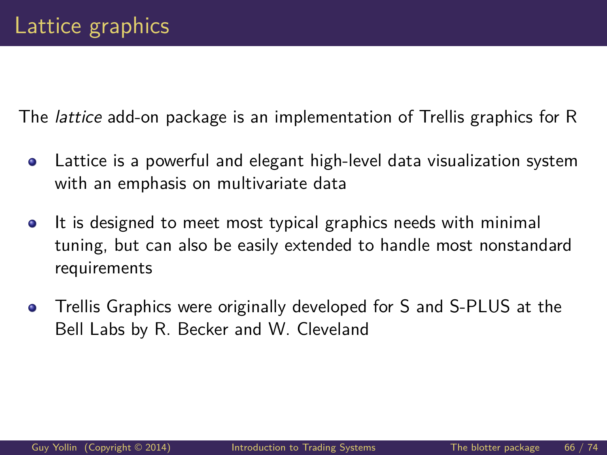The lattice add-on package is an implementation of Trellis graphics for R

- Lattice is a powerful and elegant high-level data visualization system  $\bullet$ with an emphasis on multivariate data
- It is designed to meet most typical graphics needs with minimal  $\bullet$ tuning, but can also be easily extended to handle most nonstandard requirements
- Trellis Graphics were originally developed for S and S-PLUS at the  $\bullet$ Bell Labs by R. Becker and W. Cleveland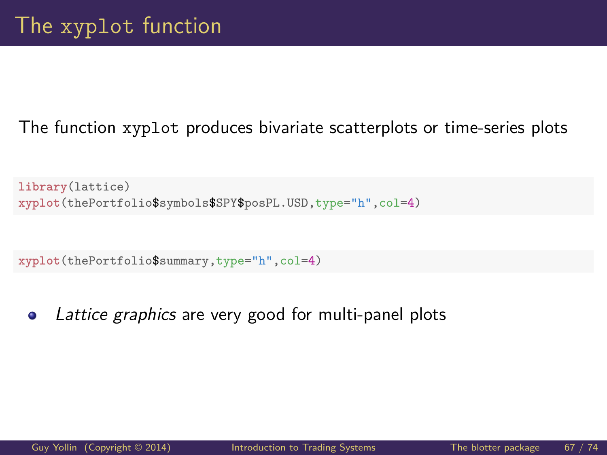#### The function xyplot produces bivariate scatterplots or time-series plots

```
library(lattice)
xyplot(thePortfolio$symbols$SPY$posPL.USD,type="h",col=4)
```

```
xyplot(thePortfolio$summary,type="h",col=4)
```
Lattice graphics are very good for multi-panel plots  $\bullet$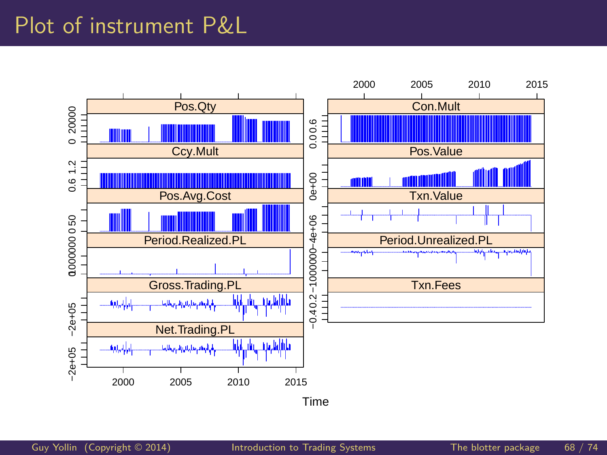### Plot of instrument P&L

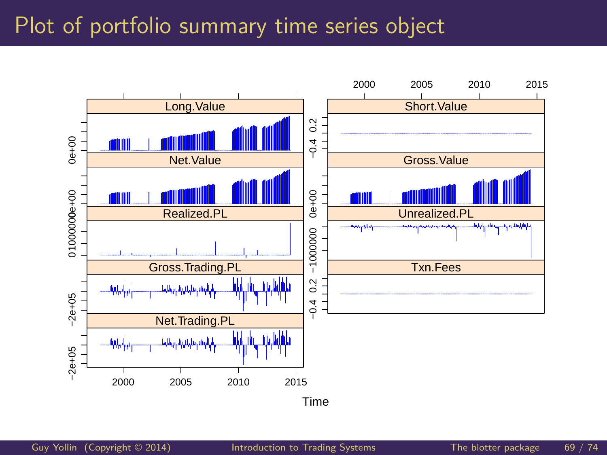## Plot of portfolio summary time series object

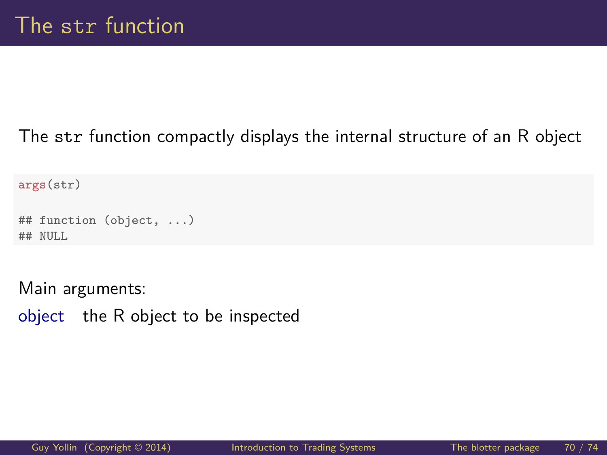#### The str function compactly displays the internal structure of an R object

**args**(str)

```
## function (object, ...)
## NULL
```
Main arguments:

object the R object to be inspected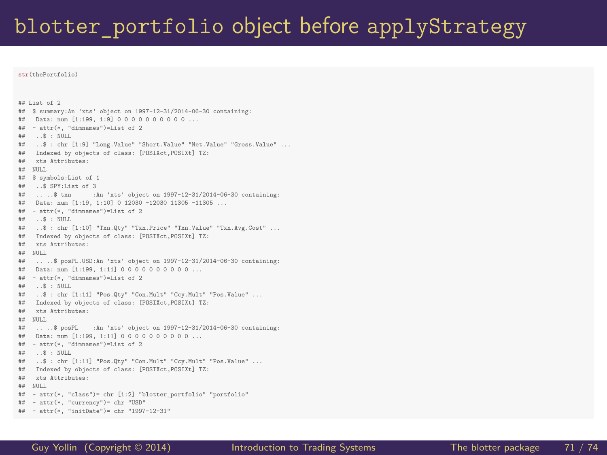#### blotter portfolio object before applyStrategy

**str**(thePortfolio)

## List of 2 ## \$ summary:An 'xts' object on 1997-12-31/2014-06-30 containing: ## Data: num [1:199, 1:9] 0 0 0 0 0 0 0 0 0 0 ... ## - attr(\*, "dimnames")=List of 2 ## ..\$ : NULL ## ..\$ : chr [1:9] "Long.Value" "Short.Value" "Net.Value" "Gross.Value" ...<br>## Indexed by objects of class: [POSIXct,POSIXt] TZ: ## Indexed by objects of class: [POSIXct,POSIXt] TZ: xts Attributes: ## NULL ## \$ symbols:List of 1 ## ..\$ SPY:List of 3 :An 'xts' object on 1997-12-31/2014-06-30 containing: ## Data: num [1:19, 1:10] 0 12030 -12030 11305 -11305 ...  $# # - attr(*, "dimensiones") = List of 2$ ## ..\$ : NULL ## ..\$ : chr [1:10] "Txn.Qty" "Txn.Price" "Txn.Value" "Txn.Avg.Cost" ... ## Indexed by objects of class: [POSIXct,POSIXt] TZ: xts Attributes:  $\begin{tabular}{ll} $\texttt{**}$ & NULL\\ $\texttt{**}$ & ... \end{tabular}$ .. ..\$ posPL.USD:An 'xts' object on 1997-12-31/2014-06-30 containing: ## Data: num [1:199, 1:11] 0 0 0 0 0 0 0 0 0 0 ...<br>## - attr(\*, "dimnames")=List of 2  $# # - attr(*, "dimensiones") = List of 2$ <br> $# # . .$ \$ : NULL  $\ldots$ \$ : NULL ## ..\$ : chr [1:11] "Pos.Qty" "Con.Mult" "Ccy.Mult" "Pos.Value" ... ## Indexed by objects of class: [POSIXct,POSIXt] TZ: yte Attributes:  $\begin{tabular}{ll} $\texttt{**}$ & NULL\\ $\texttt{**}$ & ... \end{tabular}$ .. ..\$ posPL :An 'xts' object on 1997-12-31/2014-06-30 containing: ## Data: num [1:199, 1:11] 0 0 0 0 0 0 0 0 0 0 ...  $# # - attr(*, "dimensiones") = List of 2$  $\ldots$ \$ : NULL ## ..\$ : chr [1:11] "Pos.Qty" "Con.Mult" "Ccy.Mult" "Pos.Value" ... ## Indexed by objects of class: [POSIXct,POSIXt] TZ: xts Attributes: ## NULL ## - attr(\*, "class")= chr [1:2] "blotter\_portfolio" "portfolio" ## - attr(\*, "currency")= chr "USD" ## - attr(\*, "initDate")= chr "1997-12-31"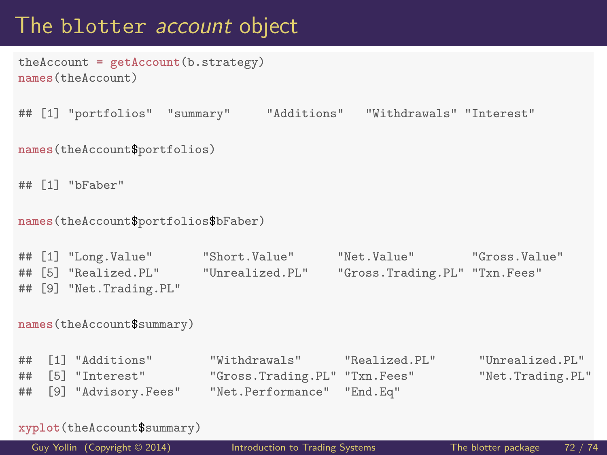## The blotter *account* object

```
theAccount = getAccount(b.strategy)
names(theAccount)
```

```
## [1] "portfolios" "summary" "Additions" "Withdrawals" "Interest"
```

```
names(theAccount$portfolios)
```

```
## [1] "bFaber"
```

```
names(theAccount$portfolios$bFaber)
```

```
## [1] "Long.Value" "Short.Value" "Net.Value" "Gross.Value"
                      "Unrealized.PL" "Gross.Trading.PL" "Txn.Fees"
## [9] "Net.Trading.PL"
```

```
names(theAccount$summary)
```
## [1] "Additions" "Withdrawals" "Realized.PL" "Unrealized.PL" ## [5] "Interest" "Gross.Trading.PL" "Txn.Fees" "Net.Trading.PL" ## [9] "Advisory.Fees" "Net.Performance" "End.Eq"

```
xyplot(theAccount$summary)
```
[Guy Yollin](http://faculty.washington.edu/gyollin/) (Copyright © 2014) [Introduction to Trading Systems](#page-0-0) The blotter package 72 / 74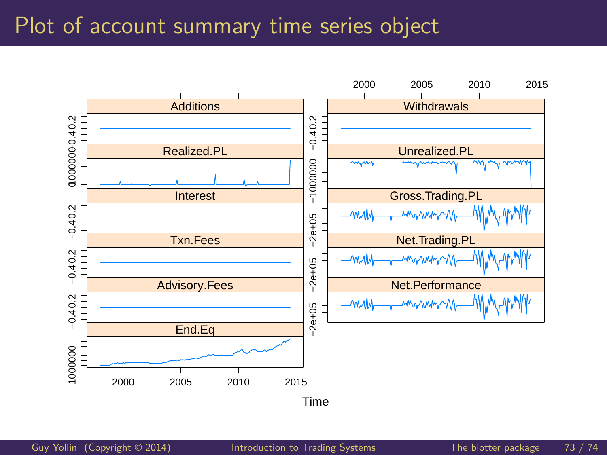## Plot of account summary time series object